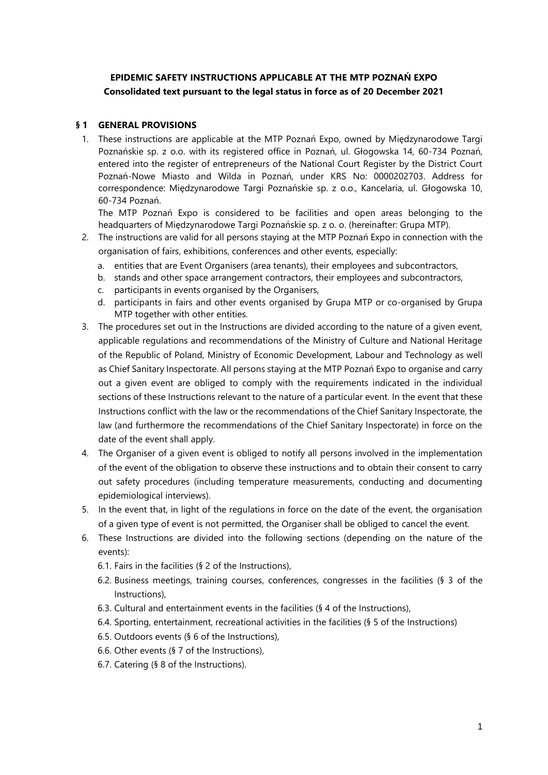# **EPIDEMIC SAFETY INSTRUCTIONS APPLICABLE AT THE MTP POZNAŃ EXPO Consolidated text pursuant to the legal status in force as of 20 December 2021**

### **§ 1 GENERAL PROVISIONS**

1. These instructions are applicable at the MTP Poznań Expo, owned by Międzynarodowe Targi Poznańskie sp. z o.o. with its registered office in Poznań, ul. Głogowska 14, 60-734 Poznań, entered into the register of entrepreneurs of the National Court Register by the District Court Poznań-Nowe Miasto and Wilda in Poznań, under KRS No: 0000202703. Address for correspondence: Międzynarodowe Targi Poznańskie sp. z o.o., Kancelaria, ul. Głogowska 10, 60-734 Poznań.

The MTP Poznań Expo is considered to be facilities and open areas belonging to the headquarters of Międzynarodowe Targi Poznańskie sp. z o. o. (hereinafter: Grupa MTP).

- 2. The instructions are valid for all persons staying at the MTP Poznań Expo in connection with the organisation of fairs, exhibitions, conferences and other events, especially:
	- a. entities that are Event Organisers (area tenants), their employees and subcontractors,
	- b. stands and other space arrangement contractors, their employees and subcontractors,
	- c. participants in events organised by the Organisers,
	- d. participants in fairs and other events organised by Grupa MTP or co-organised by Grupa MTP together with other entities.
- 3. The procedures set out in the Instructions are divided according to the nature of a given event, applicable regulations and recommendations of the Ministry of Culture and National Heritage of the Republic of Poland, [Ministry of Economic Development, Labour and Technology](https://www.gov.pl/web/development-labour-technology) as well as Chief Sanitary Inspectorate. All persons staying at the MTP Poznań Expo to organise and carry out a given event are obliged to comply with the requirements indicated in the individual sections of these Instructions relevant to the nature of a particular event. In the event that these Instructions conflict with the law or the recommendations of the Chief Sanitary Inspectorate, the law (and furthermore the recommendations of the Chief Sanitary Inspectorate) in force on the date of the event shall apply.
- 4. The Organiser of a given event is obliged to notify all persons involved in the implementation of the event of the obligation to observe these instructions and to obtain their consent to carry out safety procedures (including temperature measurements, conducting and documenting epidemiological interviews).
- 5. In the event that, in light of the regulations in force on the date of the event, the organisation of a given type of event is not permitted, the Organiser shall be obliged to cancel the event.
- 6. These Instructions are divided into the following sections (depending on the nature of the events):
	- 6.1. Fairs in the facilities (§ 2 of the Instructions),
	- 6.2. Business meetings, training courses, conferences, congresses in the facilities (§ 3 of the Instructions),
	- 6.3. Cultural and entertainment events in the facilities (§ 4 of the Instructions),
	- 6.4. Sporting, entertainment, recreational activities in the facilities (§ 5 of the Instructions)
	- 6.5. Outdoors events (§ 6 of the Instructions),
	- 6.6. Other events (§ 7 of the Instructions),
	- 6.7. Catering (§ 8 of the Instructions).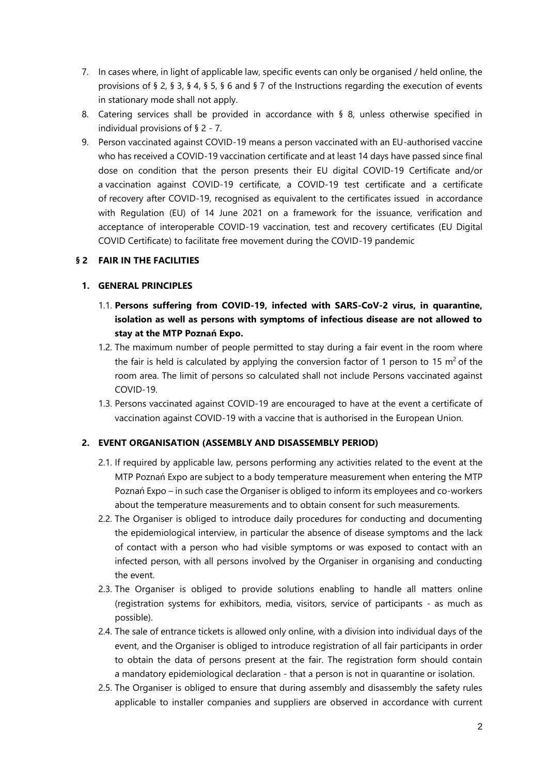- 7. In cases where, in light of applicable law, specific events can only be organised / held online, the provisions of § 2, § 3, § 4, § 5, § 6 and § 7 of the Instructions regarding the execution of events in stationary mode shall not apply.
- 8. Catering services shall be provided in accordance with § 8, unless otherwise specified in individual provisions of § 2 - 7.
- 9. Person vaccinated against COVID-19 means a person vaccinated with an EU-authorised vaccine who has received a COVID-19 vaccination certificate and at least 14 days have passed since final dose on condition that the person presents their EU digital COVID-19 Certificate and/or a vaccination against COVID-19 certificate, a COVID-19 test certificate and a certificate of recovery after COVID-19, recognised as equivalent to the certificates issued in accordance with Regulation (EU) of 14 June 2021 on a framework for the issuance, verification and acceptance of interoperable COVID-19 vaccination, test and recovery certificates (EU Digital COVID Certificate) to facilitate free movement during the COVID-19 pandemic

# <span id="page-1-0"></span>**§ 2 FAIR IN THE FACILITIES**

# **1. GENERAL PRINCIPLES**

- 1.1. **Persons suffering from COVID-19, infected with SARS-CoV-2 virus, in quarantine, isolation as well as persons with symptoms of infectious disease are not allowed to stay at the MTP Poznań Expo.**
- 1.2. The maximum number of people permitted to stay during a fair event in the room where the fair is held is calculated by applying the conversion factor of 1 person to 15  $m^2$  of the room area. The limit of persons so calculated shall not include Persons vaccinated against COVID-19.
- 1.3. Persons vaccinated against COVID-19 are encouraged to have at the event a certificate of vaccination against COVID-19 with a vaccine that is authorised in the European Union.

# **2. EVENT ORGANISATION (ASSEMBLY AND DISASSEMBLY PERIOD)**

- 2.1. If required by applicable law, persons performing any activities related to the event at the MTP Poznań Expo are subject to a body temperature measurement when entering the MTP Poznań Expo – in such case the Organiser is obliged to inform its employees and co-workers about the temperature measurements and to obtain consent for such measurements.
- 2.2. The Organiser is obliged to introduce daily procedures for conducting and documenting the epidemiological interview, in particular the absence of disease symptoms and the lack of contact with a person who had visible symptoms or was exposed to contact with an infected person, with all persons involved by the Organiser in organising and conducting the event.
- 2.3. The Organiser is obliged to provide solutions enabling to handle all matters online (registration systems for exhibitors, media, visitors, service of participants - as much as possible).
- 2.4. The sale of entrance tickets is allowed only online, with a division into individual days of the event, and the Organiser is obliged to introduce registration of all fair participants in order to obtain the data of persons present at the fair. The registration form should contain a mandatory epidemiological declaration - that a person is not in quarantine or isolation.
- 2.5. The Organiser is obliged to ensure that during assembly and disassembly the safety rules applicable to installer companies and suppliers are observed in accordance with current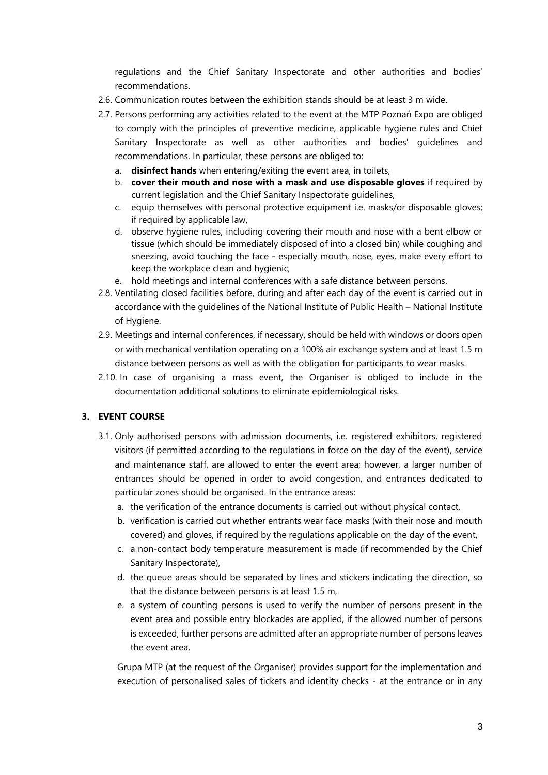regulations and the Chief Sanitary Inspectorate and other authorities and bodies' recommendations.

- 2.6. Communication routes between the exhibition stands should be at least 3 m wide.
- 2.7. Persons performing any activities related to the event at the MTP Poznań Expo are obliged to comply with the principles of preventive medicine, applicable hygiene rules and Chief Sanitary Inspectorate as well as other authorities and bodies' guidelines and recommendations. In particular, these persons are obliged to:
	- a. **disinfect hands** when entering/exiting the event area, in toilets,
	- b. **cover their mouth and nose with a mask and use disposable gloves** if required by current legislation and the Chief Sanitary Inspectorate guidelines,
	- c. equip themselves with personal protective equipment i.e. masks/or disposable gloves; if required by applicable law,
	- d. observe hygiene rules, including covering their mouth and nose with a bent elbow or tissue (which should be immediately disposed of into a closed bin) while coughing and sneezing, avoid touching the face - especially mouth, nose, eyes, make every effort to keep the workplace clean and hygienic,
	- e. hold meetings and internal conferences with a safe distance between persons.
- <span id="page-2-0"></span>2.8. Ventilating closed facilities before, during and after each day of the event is carried out in accordance with the guidelines of the National Institute of Public Health – National Institute of Hygiene.
- 2.9. Meetings and internal conferences, if necessary, should be held with windows or doors open or with mechanical ventilation operating on a 100% air exchange system and at least 1.5 m distance between persons as well as with the obligation for participants to wear masks.
- 2.10. In case of organising a mass event, the Organiser is obliged to include in the documentation additional solutions to eliminate epidemiological risks.

# **3. EVENT COURSE**

- 3.1. Only authorised persons with admission documents, i.e. registered exhibitors, registered visitors (if permitted according to the regulations in force on the day of the event), service and maintenance staff, are allowed to enter the event area; however, a larger number of entrances should be opened in order to avoid congestion, and entrances dedicated to particular zones should be organised. In the entrance areas:
	- a. the verification of the entrance documents is carried out without physical contact,
	- b. verification is carried out whether entrants wear face masks (with their nose and mouth covered) and gloves, if required by the regulations applicable on the day of the event,
	- c. a non-contact body temperature measurement is made (if recommended by the Chief Sanitary Inspectorate),
	- d. the queue areas should be separated by lines and stickers indicating the direction, so that the distance between persons is at least 1.5 m,
	- e. a system of counting persons is used to verify the number of persons present in the event area and possible entry blockades are applied, if the allowed number of persons is exceeded, further persons are admitted after an appropriate number of persons leaves the event area.

Grupa MTP (at the request of the Organiser) provides support for the implementation and execution of personalised sales of tickets and identity checks - at the entrance or in any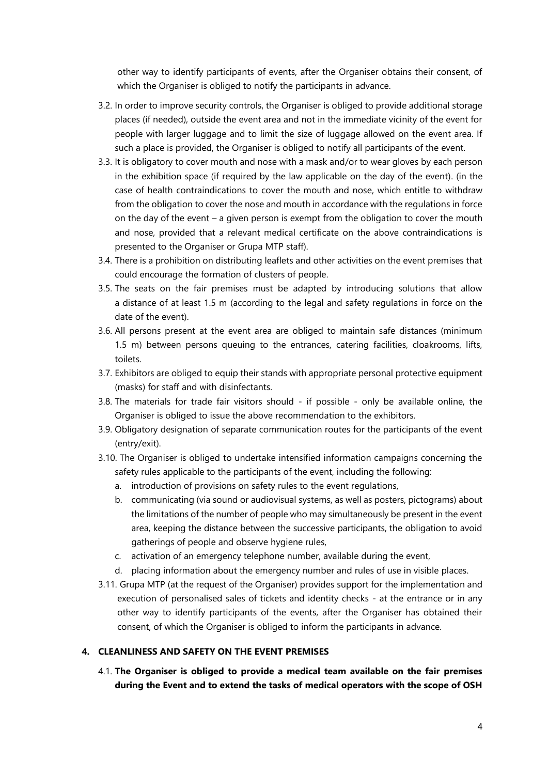other way to identify participants of events, after the Organiser obtains their consent, of which the Organiser is obliged to notify the participants in advance.

- 3.2. In order to improve security controls, the Organiser is obliged to provide additional storage places (if needed), outside the event area and not in the immediate vicinity of the event for people with larger luggage and to limit the size of luggage allowed on the event area. If such a place is provided, the Organiser is obliged to notify all participants of the event.
- 3.3. It is obligatory to cover mouth and nose with a mask and/or to wear gloves by each person in the exhibition space (if required by the law applicable on the day of the event). (in the case of health contraindications to cover the mouth and nose, which entitle to withdraw from the obligation to cover the nose and mouth in accordance with the regulations in force on the day of the event – a given person is exempt from the obligation to cover the mouth and nose, provided that a relevant medical certificate on the above contraindications is presented to the Organiser or Grupa MTP staff).
- 3.4. There is a prohibition on distributing leaflets and other activities on the event premises that could encourage the formation of clusters of people.
- 3.5. The seats on the fair premises must be adapted by introducing solutions that allow a distance of at least 1.5 m (according to the legal and safety regulations in force on the date of the event).
- 3.6. All persons present at the event area are obliged to maintain safe distances (minimum 1.5 m) between persons queuing to the entrances, catering facilities, cloakrooms, lifts, toilets.
- 3.7. Exhibitors are obliged to equip their stands with appropriate personal protective equipment (masks) for staff and with disinfectants.
- 3.8. The materials for trade fair visitors should if possible only be available online, the Organiser is obliged to issue the above recommendation to the exhibitors.
- 3.9. Obligatory designation of separate communication routes for the participants of the event (entry/exit).
- 3.10. The Organiser is obliged to undertake intensified information campaigns concerning the safety rules applicable to the participants of the event, including the following:
	- a. introduction of provisions on safety rules to the event regulations,
	- b. communicating (via sound or audiovisual systems, as well as posters, pictograms) about the limitations of the number of people who may simultaneously be present in the event area, keeping the distance between the successive participants, the obligation to avoid gatherings of people and observe hygiene rules,
	- c. activation of an emergency telephone number, available during the event,
	- d. placing information about the emergency number and rules of use in visible places.
- 3.11. Grupa MTP (at the request of the Organiser) provides support for the implementation and execution of personalised sales of tickets and identity checks - at the entrance or in any other way to identify participants of the events, after the Organiser has obtained their consent, of which the Organiser is obliged to inform the participants in advance.

### **4. CLEANLINESS AND SAFETY ON THE EVENT PREMISES**

4.1. **The Organiser is obliged to provide a medical team available on the fair premises during the Event and to extend the tasks of medical operators with the scope of OSH**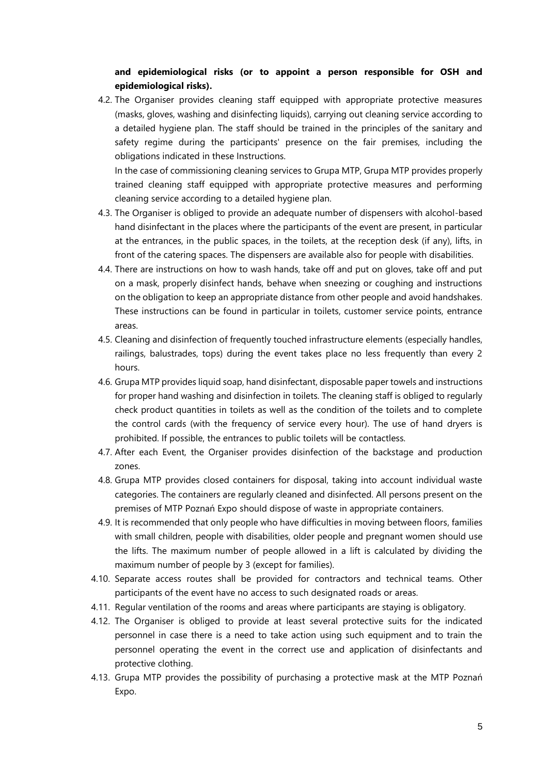# **and epidemiological risks (or to appoint a person responsible for OSH and epidemiological risks).**

4.2. The Organiser provides cleaning staff equipped with appropriate protective measures (masks, gloves, washing and disinfecting liquids), carrying out cleaning service according to a detailed hygiene plan. The staff should be trained in the principles of the sanitary and safety regime during the participants' presence on the fair premises, including the obligations indicated in these Instructions.

In the case of commissioning cleaning services to Grupa MTP, Grupa MTP provides properly trained cleaning staff equipped with appropriate protective measures and performing cleaning service according to a detailed hygiene plan.

- 4.3. The Organiser is obliged to provide an adequate number of dispensers with alcohol-based hand disinfectant in the places where the participants of the event are present, in particular at the entrances, in the public spaces, in the toilets, at the reception desk (if any), lifts, in front of the catering spaces. The dispensers are available also for people with disabilities.
- 4.4. There are instructions on how to wash hands, take off and put on gloves, take off and put on a mask, properly disinfect hands, behave when sneezing or coughing and instructions on the obligation to keep an appropriate distance from other people and avoid handshakes. These instructions can be found in particular in toilets, customer service points, entrance areas.
- 4.5. Cleaning and disinfection of frequently touched infrastructure elements (especially handles, railings, balustrades, tops) during the event takes place no less frequently than every 2 hours.
- 4.6. Grupa MTP provides liquid soap, hand disinfectant, disposable paper towels and instructions for proper hand washing and disinfection in toilets. The cleaning staff is obliged to regularly check product quantities in toilets as well as the condition of the toilets and to complete the control cards (with the frequency of service every hour). The use of hand dryers is prohibited. If possible, the entrances to public toilets will be contactless.
- <span id="page-4-0"></span>4.7. After each Event, the Organiser provides disinfection of the backstage and production zones.
- 4.8. Grupa MTP provides closed containers for disposal, taking into account individual waste categories. The containers are regularly cleaned and disinfected. All persons present on the premises of MTP Poznań Expo should dispose of waste in appropriate containers.
- <span id="page-4-1"></span>4.9. It is recommended that only people who have difficulties in moving between floors, families with small children, people with disabilities, older people and pregnant women should use the lifts. The maximum number of people allowed in a lift is calculated by dividing the maximum number of people by 3 (except for families).
- 4.10. Separate access routes shall be provided for contractors and technical teams. Other participants of the event have no access to such designated roads or areas.
- <span id="page-4-2"></span>4.11. Regular ventilation of the rooms and areas where participants are staying is obligatory.
- <span id="page-4-3"></span>4.12. The Organiser is obliged to provide at least several protective suits for the indicated personnel in case there is a need to take action using such equipment and to train the personnel operating the event in the correct use and application of disinfectants and protective clothing.
- 4.13. Grupa MTP provides the possibility of purchasing a protective mask at the MTP Poznań Expo.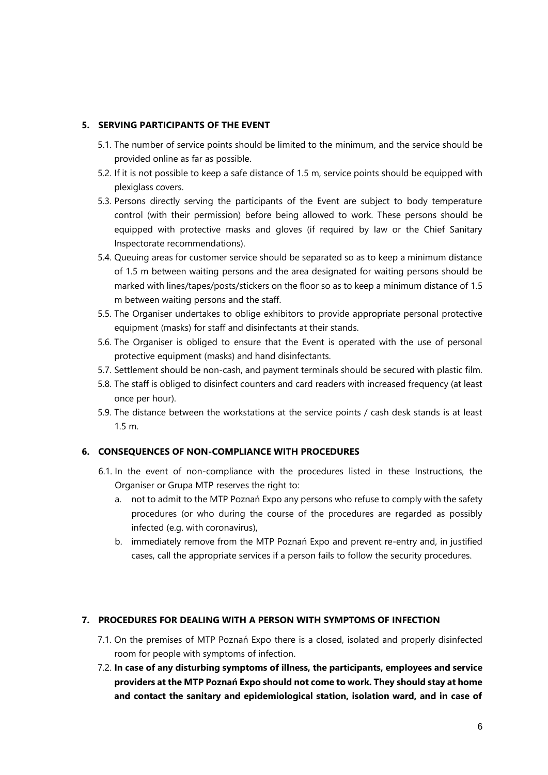# **5. SERVING PARTICIPANTS OF THE EVENT**

- 5.1. The number of service points should be limited to the minimum, and the service should be provided online as far as possible.
- 5.2. If it is not possible to keep a safe distance of 1.5 m, service points should be equipped with plexiglass covers.
- 5.3. Persons directly serving the participants of the Event are subject to body temperature control (with their permission) before being allowed to work. These persons should be equipped with protective masks and gloves (if required by law or the Chief Sanitary Inspectorate recommendations).
- 5.4. Queuing areas for customer service should be separated so as to keep a minimum distance of 1.5 m between waiting persons and the area designated for waiting persons should be marked with lines/tapes/posts/stickers on the floor so as to keep a minimum distance of 1.5 m between waiting persons and the staff.
- 5.5. The Organiser undertakes to oblige exhibitors to provide appropriate personal protective equipment (masks) for staff and disinfectants at their stands.
- 5.6. The Organiser is obliged to ensure that the Event is operated with the use of personal protective equipment (masks) and hand disinfectants.
- 5.7. Settlement should be non-cash, and payment terminals should be secured with plastic film.
- 5.8. The staff is obliged to disinfect counters and card readers with increased frequency (at least once per hour).
- 5.9. The distance between the workstations at the service points / cash desk stands is at least 1.5 m.

# **6. CONSEQUENCES OF NON-COMPLIANCE WITH PROCEDURES**

- 6.1. In the event of non-compliance with the procedures listed in these Instructions, the Organiser or Grupa MTP reserves the right to:
	- a. not to admit to the MTP Poznań Expo any persons who refuse to comply with the safety procedures (or who during the course of the procedures are regarded as possibly infected (e.g. with coronavirus),
	- b. immediately remove from the MTP Poznań Expo and prevent re-entry and, in justified cases, call the appropriate services if a person fails to follow the security procedures.

# **7. PROCEDURES FOR DEALING WITH A PERSON WITH SYMPTOMS OF INFECTION**

- 7.1. On the premises of MTP Poznań Expo there is a closed, isolated and properly disinfected room for people with symptoms of infection.
- 7.2. **In case of any disturbing symptoms of illness, the participants, employees and service providers at the MTP Poznań Expo should not come to work. They should stay at home and contact the sanitary and epidemiological station, isolation ward, and in case of**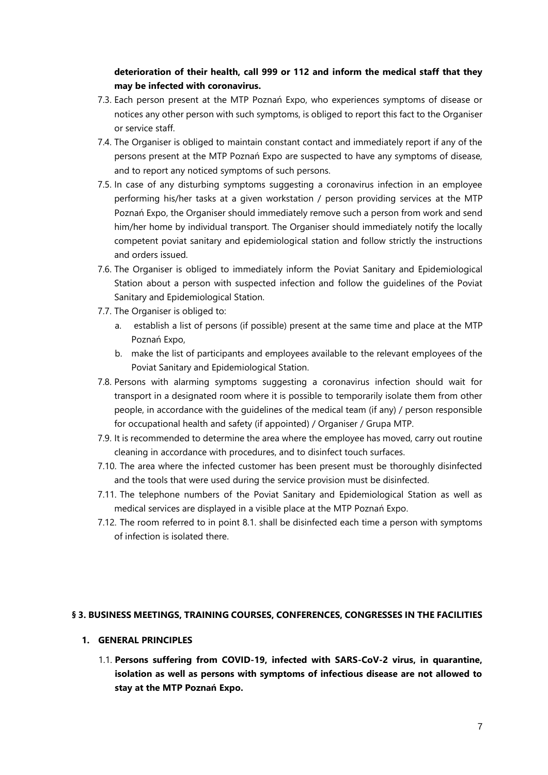# **deterioration of their health, call 999 or 112 and inform the medical staff that they may be infected with coronavirus.**

- 7.3. Each person present at the MTP Poznań Expo, who experiences symptoms of disease or notices any other person with such symptoms, is obliged to report this fact to the Organiser or service staff.
- 7.4. The Organiser is obliged to maintain constant contact and immediately report if any of the persons present at the MTP Poznań Expo are suspected to have any symptoms of disease, and to report any noticed symptoms of such persons.
- 7.5. In case of any disturbing symptoms suggesting a coronavirus infection in an employee performing his/her tasks at a given workstation / person providing services at the MTP Poznań Expo, the Organiser should immediately remove such a person from work and send him/her home by individual transport. The Organiser should immediately notify the locally competent poviat sanitary and epidemiological station and follow strictly the instructions and orders issued.
- 7.6. The Organiser is obliged to immediately inform the Poviat Sanitary and Epidemiological Station about a person with suspected infection and follow the guidelines of the Poviat Sanitary and Epidemiological Station.
- 7.7. The Organiser is obliged to:
	- a. establish a list of persons (if possible) present at the same time and place at the MTP Poznań Expo,
	- b. make the list of participants and employees available to the relevant employees of the Poviat Sanitary and Epidemiological Station.
- 7.8. Persons with alarming symptoms suggesting a coronavirus infection should wait for transport in a designated room where it is possible to temporarily isolate them from other people, in accordance with the guidelines of the medical team (if any) / person responsible for occupational health and safety (if appointed) / Organiser / Grupa MTP.
- 7.9. It is recommended to determine the area where the employee has moved, carry out routine cleaning in accordance with procedures, and to disinfect touch surfaces.
- 7.10. The area where the infected customer has been present must be thoroughly disinfected and the tools that were used during the service provision must be disinfected.
- 7.11. The telephone numbers of the Poviat Sanitary and Epidemiological Station as well as medical services are displayed in a visible place at the MTP Poznań Expo.
- 7.12. The room referred to in point 8.1. shall be disinfected each time a person with symptoms of infection is isolated there.

### <span id="page-6-0"></span>**§ 3. BUSINESS MEETINGS, TRAINING COURSES, CONFERENCES, CONGRESSES IN THE FACILITIES**

### **1. GENERAL PRINCIPLES**

1.1. **Persons suffering from COVID-19, infected with SARS-CoV-2 virus, in quarantine, isolation as well as persons with symptoms of infectious disease are not allowed to stay at the MTP Poznań Expo.**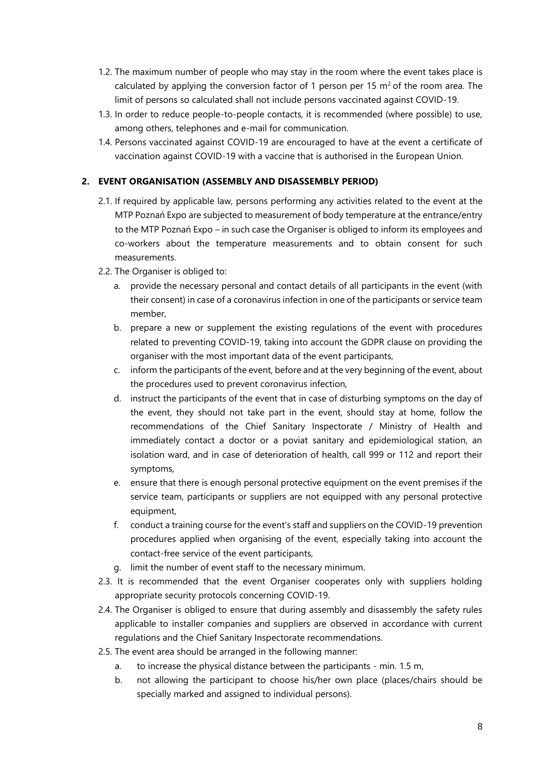- 1.2. The maximum number of people who may stay in the room where the event takes place is calculated by applying the conversion factor of 1 person per 15  $m<sup>2</sup>$  of the room area. The limit of persons so calculated shall not include persons vaccinated against COVID-19.
- 1.3. In order to reduce people-to-people contacts, it is recommended (where possible) to use, among others, telephones and e-mail for communication.
- 1.4. Persons vaccinated against COVID-19 are encouraged to have at the event a certificate of vaccination against COVID-19 with a vaccine that is authorised in the European Union.

# **2. EVENT ORGANISATION (ASSEMBLY AND DISASSEMBLY PERIOD)**

- 2.1. If required by applicable law, persons performing any activities related to the event at the MTP Poznań Expo are subjected to measurement of body temperature at the entrance/entry to the MTP Poznań Expo – in such case the Organiser is obliged to inform its employees and co-workers about the temperature measurements and to obtain consent for such measurements.
- 2.2. The Organiser is obliged to:
	- a. provide the necessary personal and contact details of all participants in the event (with their consent) in case of a coronavirus infection in one of the participants or service team member,
	- b. prepare a new or supplement the existing regulations of the event with procedures related to preventing COVID-19, taking into account the GDPR clause on providing the organiser with the most important data of the event participants,
	- c. inform the participants of the event, before and at the very beginning of the event, about the procedures used to prevent coronavirus infection,
	- d. instruct the participants of the event that in case of disturbing symptoms on the day of the event, they should not take part in the event, should stay at home, follow the recommendations of the Chief Sanitary Inspectorate / Ministry of Health and immediately contact a doctor or a poviat sanitary and epidemiological station, an isolation ward, and in case of deterioration of health, call 999 or 112 and report their symptoms,
	- e. ensure that there is enough personal protective equipment on the event premises if the service team, participants or suppliers are not equipped with any personal protective equipment,
	- f. conduct a training course for the event's staff and suppliers on the COVID-19 prevention procedures applied when organising of the event, especially taking into account the contact-free service of the event participants,
	- g. limit the number of event staff to the necessary minimum.
- 2.3. It is recommended that the event Organiser cooperates only with suppliers holding appropriate security protocols concerning COVID-19.
- 2.4. The Organiser is obliged to ensure that during assembly and disassembly the safety rules applicable to installer companies and suppliers are observed in accordance with current regulations and the Chief Sanitary Inspectorate recommendations.
- 2.5. The event area should be arranged in the following manner:
	- a. to increase the physical distance between the participants min. 1.5 m,
	- b. not allowing the participant to choose his/her own place (places/chairs should be specially marked and assigned to individual persons).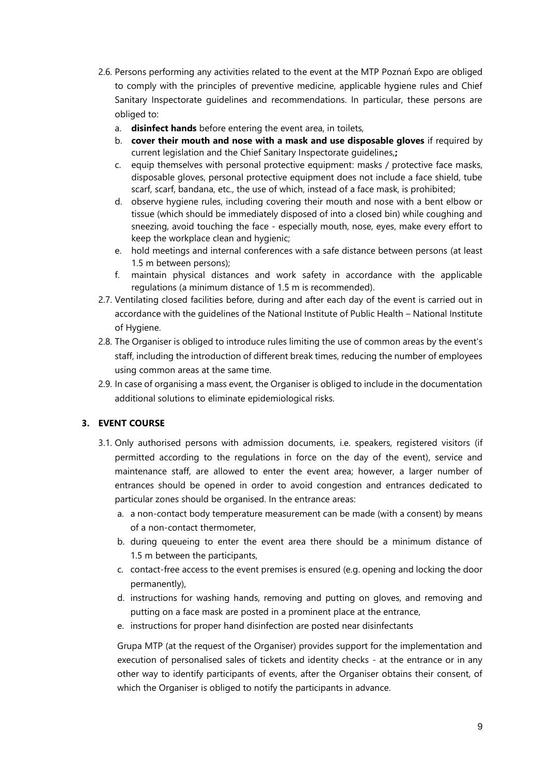- 2.6. Persons performing any activities related to the event at the MTP Poznań Expo are obliged to comply with the principles of preventive medicine, applicable hygiene rules and Chief Sanitary Inspectorate guidelines and recommendations. In particular, these persons are obliged to:
	- a. **disinfect hands** before entering the event area, in toilets,
	- b. **cover their mouth and nose with a mask and use disposable gloves** if required by current legislation and the Chief Sanitary Inspectorate guidelines,**;**
	- c. equip themselves with personal protective equipment: masks / protective face masks, disposable gloves, personal protective equipment does not include a face shield, tube scarf, scarf, bandana, etc., the use of which, instead of a face mask, is prohibited;
	- d. observe hygiene rules, including covering their mouth and nose with a bent elbow or tissue (which should be immediately disposed of into a closed bin) while coughing and sneezing, avoid touching the face - especially mouth, nose, eyes, make every effort to keep the workplace clean and hygienic;
	- e. hold meetings and internal conferences with a safe distance between persons (at least 1.5 m between persons);
	- f. maintain physical distances and work safety in accordance with the applicable regulations (a minimum distance of 1.5 m is recommended).
- <span id="page-8-0"></span>2.7. Ventilating closed facilities before, during and after each day of the event is carried out in accordance with the guidelines of the National Institute of Public Health – National Institute of Hygiene.
- 2.8. The Organiser is obliged to introduce rules limiting the use of common areas by the event's staff, including the introduction of different break times, reducing the number of employees using common areas at the same time.
- 2.9. In case of organising a mass event, the Organiser is obliged to include in the documentation additional solutions to eliminate epidemiological risks.

# **3. EVENT COURSE**

- 3.1. Only authorised persons with admission documents, i.e. speakers, registered visitors (if permitted according to the regulations in force on the day of the event), service and maintenance staff, are allowed to enter the event area; however, a larger number of entrances should be opened in order to avoid congestion and entrances dedicated to particular zones should be organised. In the entrance areas:
	- a. a non-contact body temperature measurement can be made (with a consent) by means of a non-contact thermometer,
	- b. during queueing to enter the event area there should be a minimum distance of 1.5 m between the participants,
	- c. contact-free access to the event premises is ensured (e.g. opening and locking the door permanently),
	- d. instructions for washing hands, removing and putting on gloves, and removing and putting on a face mask are posted in a prominent place at the entrance,
	- e. instructions for proper hand disinfection are posted near disinfectants

Grupa MTP (at the request of the Organiser) provides support for the implementation and execution of personalised sales of tickets and identity checks - at the entrance or in any other way to identify participants of events, after the Organiser obtains their consent, of which the Organiser is obliged to notify the participants in advance.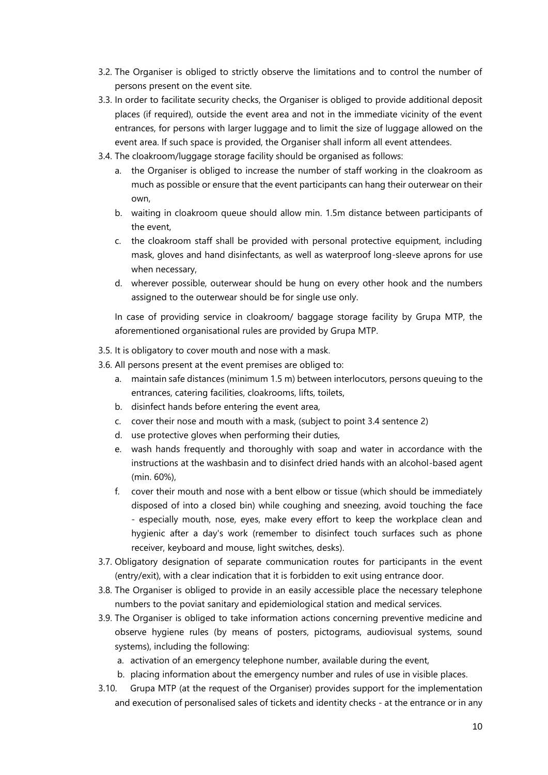- 3.2. The Organiser is obliged to strictly observe the limitations and to control the number of persons present on the event site.
- 3.3. In order to facilitate security checks, the Organiser is obliged to provide additional deposit places (if required), outside the event area and not in the immediate vicinity of the event entrances, for persons with larger luggage and to limit the size of luggage allowed on the event area. If such space is provided, the Organiser shall inform all event attendees.
- 3.4. The cloakroom/luggage storage facility should be organised as follows:
	- a. the Organiser is obliged to increase the number of staff working in the cloakroom as much as possible or ensure that the event participants can hang their outerwear on their own,
	- b. waiting in cloakroom queue should allow min. 1.5m distance between participants of the event,
	- c. the cloakroom staff shall be provided with personal protective equipment, including mask, gloves and hand disinfectants, as well as waterproof long-sleeve aprons for use when necessary,
	- d. wherever possible, outerwear should be hung on every other hook and the numbers assigned to the outerwear should be for single use only.

In case of providing service in cloakroom/ baggage storage facility by Grupa MTP, the aforementioned organisational rules are provided by Grupa MTP.

- 3.5. It is obligatory to cover mouth and nose with a mask.
- 3.6. All persons present at the event premises are obliged to:
	- a. maintain safe distances (minimum 1.5 m) between interlocutors, persons queuing to the entrances, catering facilities, cloakrooms, lifts, toilets,
	- b. disinfect hands before entering the event area,
	- c. cover their nose and mouth with a mask, (subject to point 3.4 sentence 2)
	- d. use protective gloves when performing their duties,
	- e. wash hands frequently and thoroughly with soap and water in accordance with the instructions at the washbasin and to disinfect dried hands with an alcohol-based agent (min. 60%),
	- f. cover their mouth and nose with a bent elbow or tissue (which should be immediately disposed of into a closed bin) while coughing and sneezing, avoid touching the face - especially mouth, nose, eyes, make every effort to keep the workplace clean and hygienic after a day's work (remember to disinfect touch surfaces such as phone receiver, keyboard and mouse, light switches, desks).
- 3.7. Obligatory designation of separate communication routes for participants in the event (entry/exit), with a clear indication that it is forbidden to exit using entrance door.
- 3.8. The Organiser is obliged to provide in an easily accessible place the necessary telephone numbers to the poviat sanitary and epidemiological station and medical services.
- 3.9. The Organiser is obliged to take information actions concerning preventive medicine and observe hygiene rules (by means of posters, pictograms, audiovisual systems, sound systems), including the following:
	- a. activation of an emergency telephone number, available during the event,
	- b. placing information about the emergency number and rules of use in visible places.
- 3.10. Grupa MTP (at the request of the Organiser) provides support for the implementation and execution of personalised sales of tickets and identity checks - at the entrance or in any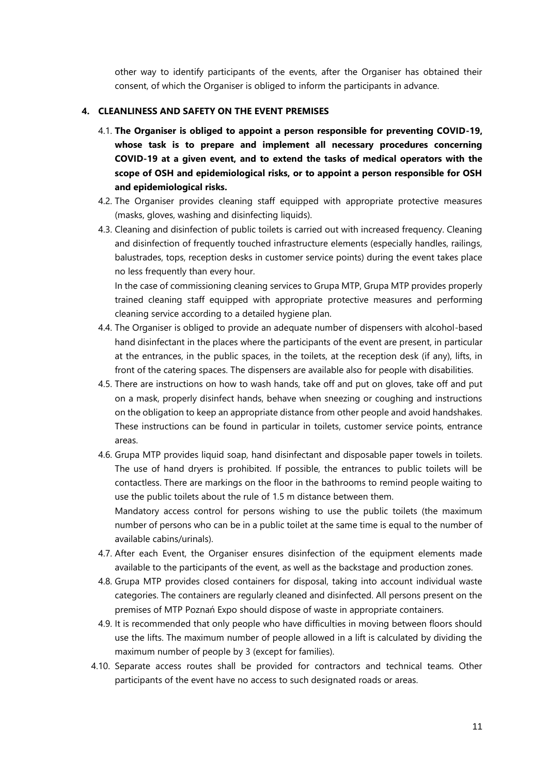other way to identify participants of the events, after the Organiser has obtained their consent, of which the Organiser is obliged to inform the participants in advance.

### **4. CLEANLINESS AND SAFETY ON THE EVENT PREMISES**

- 4.1. **The Organiser is obliged to appoint a person responsible for preventing COVID-19, whose task is to prepare and implement all necessary procedures concerning COVID-19 at a given event, and to extend the tasks of medical operators with the scope of OSH and epidemiological risks, or to appoint a person responsible for OSH and epidemiological risks.**
- 4.2. The Organiser provides cleaning staff equipped with appropriate protective measures (masks, gloves, washing and disinfecting liquids).
- 4.3. Cleaning and disinfection of public toilets is carried out with increased frequency. Cleaning and disinfection of frequently touched infrastructure elements (especially handles, railings, balustrades, tops, reception desks in customer service points) during the event takes place no less frequently than every hour.

In the case of commissioning cleaning services to Grupa MTP, Grupa MTP provides properly trained cleaning staff equipped with appropriate protective measures and performing cleaning service according to a detailed hygiene plan.

- 4.4. The Organiser is obliged to provide an adequate number of dispensers with alcohol-based hand disinfectant in the places where the participants of the event are present, in particular at the entrances, in the public spaces, in the toilets, at the reception desk (if any), lifts, in front of the catering spaces. The dispensers are available also for people with disabilities.
- 4.5. There are instructions on how to wash hands, take off and put on gloves, take off and put on a mask, properly disinfect hands, behave when sneezing or coughing and instructions on the obligation to keep an appropriate distance from other people and avoid handshakes. These instructions can be found in particular in toilets, customer service points, entrance areas.
- 4.6. Grupa MTP provides liquid soap, hand disinfectant and disposable paper towels in toilets. The use of hand dryers is prohibited. If possible, the entrances to public toilets will be contactless. There are markings on the floor in the bathrooms to remind people waiting to use the public toilets about the rule of 1.5 m distance between them.

Mandatory access control for persons wishing to use the public toilets (the maximum number of persons who can be in a public toilet at the same time is equal to the number of available cabins/urinals).

- <span id="page-10-0"></span>4.7. After each Event, the Organiser ensures disinfection of the equipment elements made available to the participants of the event, as well as the backstage and production zones.
- 4.8. Grupa MTP provides closed containers for disposal, taking into account individual waste categories. The containers are regularly cleaned and disinfected. All persons present on the premises of MTP Poznań Expo should dispose of waste in appropriate containers.
- 4.9. It is recommended that only people who have difficulties in moving between floors should use the lifts. The maximum number of people allowed in a lift is calculated by dividing the maximum number of people by 3 (except for families).
- 4.10. Separate access routes shall be provided for contractors and technical teams. Other participants of the event have no access to such designated roads or areas.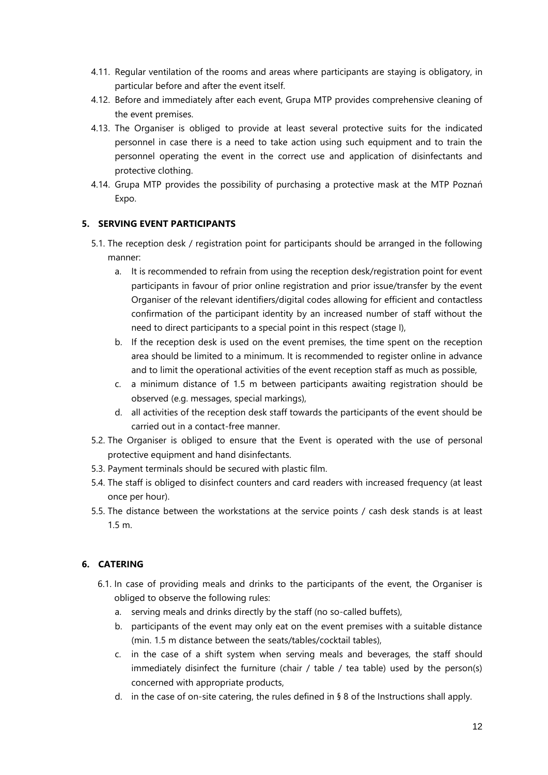- <span id="page-11-0"></span>4.11. Regular ventilation of the rooms and areas where participants are staying is obligatory, in particular before and after the event itself.
- 4.12. Before and immediately after each event, Grupa MTP provides comprehensive cleaning of the event premises.
- <span id="page-11-1"></span>4.13. The Organiser is obliged to provide at least several protective suits for the indicated personnel in case there is a need to take action using such equipment and to train the personnel operating the event in the correct use and application of disinfectants and protective clothing.
- 4.14. Grupa MTP provides the possibility of purchasing a protective mask at the MTP Poznań Expo.

# **5. SERVING EVENT PARTICIPANTS**

- 5.1. The reception desk / registration point for participants should be arranged in the following manner:
	- a. It is recommended to refrain from using the reception desk/registration point for event participants in favour of prior online registration and prior issue/transfer by the event Organiser of the relevant identifiers/digital codes allowing for efficient and contactless confirmation of the participant identity by an increased number of staff without the need to direct participants to a special point in this respect (stage I),
	- b. If the reception desk is used on the event premises, the time spent on the reception area should be limited to a minimum. It is recommended to register online in advance and to limit the operational activities of the event reception staff as much as possible,
	- c. a minimum distance of 1.5 m between participants awaiting registration should be observed (e.g. messages, special markings),
	- d. all activities of the reception desk staff towards the participants of the event should be carried out in a contact-free manner.
- 5.2. The Organiser is obliged to ensure that the Event is operated with the use of personal protective equipment and hand disinfectants.
- 5.3. Payment terminals should be secured with plastic film.
- 5.4. The staff is obliged to disinfect counters and card readers with increased frequency (at least once per hour).
- 5.5. The distance between the workstations at the service points / cash desk stands is at least 1.5 m.

# **6. CATERING**

- 6.1. In case of providing meals and drinks to the participants of the event, the Organiser is obliged to observe the following rules:
	- a. serving meals and drinks directly by the staff (no so-called buffets),
	- b. participants of the event may only eat on the event premises with a suitable distance (min. 1.5 m distance between the seats/tables/cocktail tables),
	- c. in the case of a shift system when serving meals and beverages, the staff should immediately disinfect the furniture (chair / table / tea table) used by the person(s) concerned with appropriate products,
	- d. in the case of on-site catering, the rules defined in  $\S 8$  of the Instructions shall apply.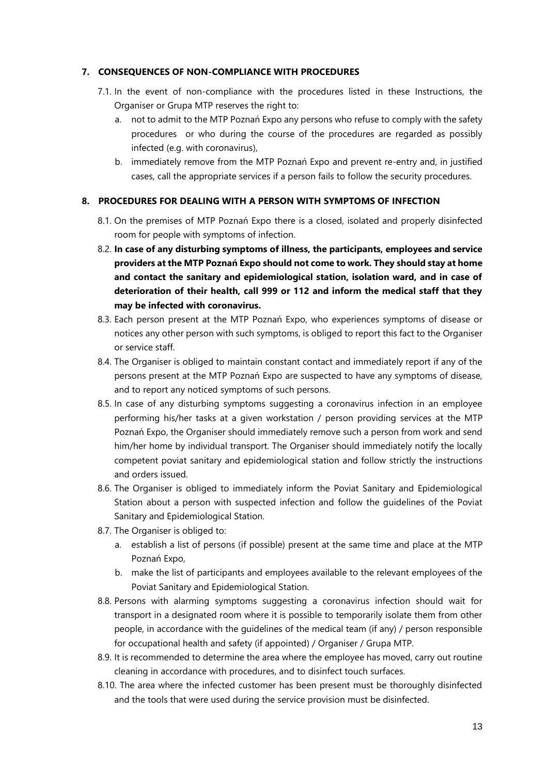### **7. CONSEQUENCES OF NON-COMPLIANCE WITH PROCEDURES**

- 7.1. In the event of non-compliance with the procedures listed in these Instructions, the Organiser or Grupa MTP reserves the right to:
	- a. not to admit to the MTP Poznań Expo any persons who refuse to comply with the safety procedures or who during the course of the procedures are regarded as possibly infected (e.g. with coronavirus),
	- b. immediately remove from the MTP Poznań Expo and prevent re-entry and, in justified cases, call the appropriate services if a person fails to follow the security procedures.

### **8. PROCEDURES FOR DEALING WITH A PERSON WITH SYMPTOMS OF INFECTION**

- 8.1. On the premises of MTP Poznań Expo there is a closed, isolated and properly disinfected room for people with symptoms of infection.
- 8.2. **In case of any disturbing symptoms of illness, the participants, employees and service providers at the MTP Poznań Expo should not come to work. They should stay at home and contact the sanitary and epidemiological station, isolation ward, and in case of deterioration of their health, call 999 or 112 and inform the medical staff that they may be infected with coronavirus.**
- 8.3. Each person present at the MTP Poznań Expo, who experiences symptoms of disease or notices any other person with such symptoms, is obliged to report this fact to the Organiser or service staff.
- 8.4. The Organiser is obliged to maintain constant contact and immediately report if any of the persons present at the MTP Poznań Expo are suspected to have any symptoms of disease, and to report any noticed symptoms of such persons.
- 8.5. In case of any disturbing symptoms suggesting a coronavirus infection in an employee performing his/her tasks at a given workstation / person providing services at the MTP Poznań Expo, the Organiser should immediately remove such a person from work and send him/her home by individual transport. The Organiser should immediately notify the locally competent poviat sanitary and epidemiological station and follow strictly the instructions and orders issued.
- 8.6. The Organiser is obliged to immediately inform the Poviat Sanitary and Epidemiological Station about a person with suspected infection and follow the guidelines of the Poviat Sanitary and Epidemiological Station.
- 8.7. The Organiser is obliged to:
	- a. establish a list of persons (if possible) present at the same time and place at the MTP Poznań Expo,
	- b. make the list of participants and employees available to the relevant employees of the Poviat Sanitary and Epidemiological Station.
- 8.8. Persons with alarming symptoms suggesting a coronavirus infection should wait for transport in a designated room where it is possible to temporarily isolate them from other people, in accordance with the guidelines of the medical team (if any) / person responsible for occupational health and safety (if appointed) / Organiser / Grupa MTP.
- 8.9. It is recommended to determine the area where the employee has moved, carry out routine cleaning in accordance with procedures, and to disinfect touch surfaces.
- 8.10. The area where the infected customer has been present must be thoroughly disinfected and the tools that were used during the service provision must be disinfected.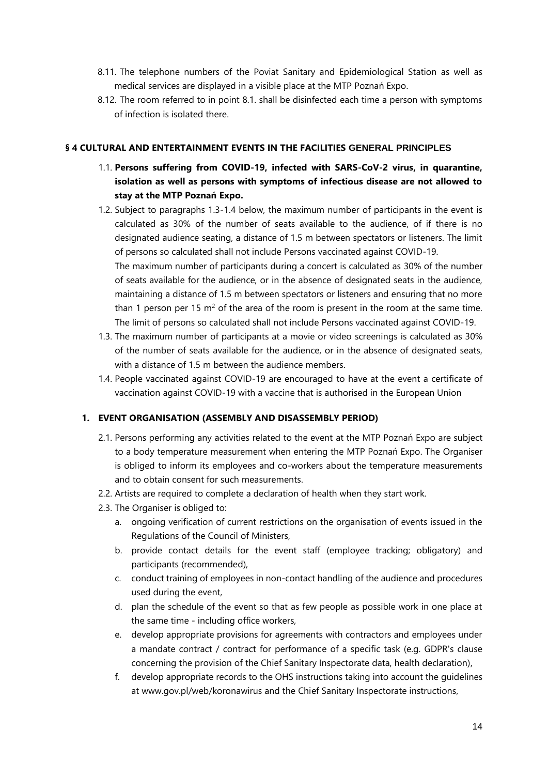- 8.11. The telephone numbers of the Poviat Sanitary and Epidemiological Station as well as medical services are displayed in a visible place at the MTP Poznań Expo.
- 8.12. The room referred to in point 8.1. shall be disinfected each time a person with symptoms of infection is isolated there.

### <span id="page-13-0"></span>**§ 4 CULTURAL AND ENTERTAINMENT EVENTS IN THE FACILITIES GENERAL PRINCIPLES**

- 1.1. **Persons suffering from COVID-19, infected with SARS-CoV-2 virus, in quarantine, isolation as well as persons with symptoms of infectious disease are not allowed to stay at the MTP Poznań Expo.**
- 1.2. Subject to paragraphs 1.3-1.4 below, the maximum number of participants in the event is calculated as 30% of the number of seats available to the audience, of if there is no designated audience seating, a distance of 1.5 m between spectators or listeners. The limit of persons so calculated shall not include Persons vaccinated against COVID-19. The maximum number of participants during a concert is calculated as 30% of the number of seats available for the audience, or in the absence of designated seats in the audience, maintaining a distance of 1.5 m between spectators or listeners and ensuring that no more
- The limit of persons so calculated shall not include Persons vaccinated against COVID-19. 1.3. The maximum number of participants at a movie or video screenings is calculated as 30% of the number of seats available for the audience, or in the absence of designated seats, with a distance of 1.5 m between the audience members.

than 1 person per 15  $m^2$  of the area of the room is present in the room at the same time.

1.4. People vaccinated against COVID-19 are encouraged to have at the event a certificate of vaccination against COVID-19 with a vaccine that is authorised in the European Union

### **1. EVENT ORGANISATION (ASSEMBLY AND DISASSEMBLY PERIOD)**

- 2.1. Persons performing any activities related to the event at the MTP Poznań Expo are subject to a body temperature measurement when entering the MTP Poznań Expo. The Organiser is obliged to inform its employees and co-workers about the temperature measurements and to obtain consent for such measurements.
- 2.2. Artists are required to complete a declaration of health when they start work.
- 2.3. The Organiser is obliged to:
	- a. ongoing verification of current restrictions on the organisation of events issued in the Regulations of the Council of Ministers,
	- b. provide contact details for the event staff (employee tracking; obligatory) and participants (recommended),
	- c. conduct training of employees in non-contact handling of the audience and procedures used during the event,
	- d. plan the schedule of the event so that as few people as possible work in one place at the same time - including office workers,
	- e. develop appropriate provisions for agreements with contractors and employees under a mandate contract / contract for performance of a specific task (e.g. GDPR's clause concerning the provision of the Chief Sanitary Inspectorate data, health declaration),
	- f. develop appropriate records to the OHS instructions taking into account the guidelines at www.gov.pl/web/koronawirus and the Chief Sanitary Inspectorate instructions,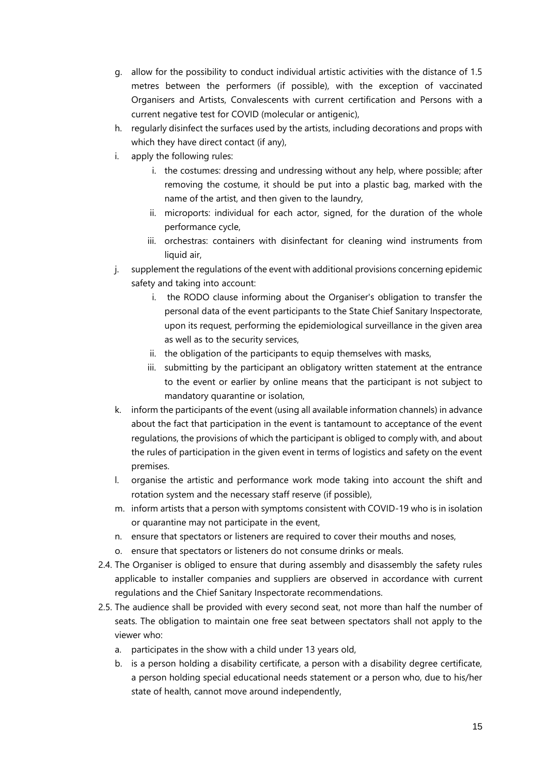- g. allow for the possibility to conduct individual artistic activities with the distance of 1.5 metres between the performers (if possible), with the exception of vaccinated Organisers and Artists, Convalescents with current certification and Persons with a current negative test for COVID (molecular or antigenic),
- h. regularly disinfect the surfaces used by the artists, including decorations and props with which they have direct contact (if any),
- i. apply the following rules:
	- i. the costumes: dressing and undressing without any help, where possible; after removing the costume, it should be put into a plastic bag, marked with the name of the artist, and then given to the laundry,
	- ii. microports: individual for each actor, signed, for the duration of the whole performance cycle,
	- iii. orchestras: containers with disinfectant for cleaning wind instruments from liquid air,
- j. supplement the regulations of the event with additional provisions concerning epidemic safety and taking into account:
	- i. the RODO clause informing about the Organiser's obligation to transfer the personal data of the event participants to the State Chief Sanitary Inspectorate, upon its request, performing the epidemiological surveillance in the given area as well as to the security services,
	- ii. the obligation of the participants to equip themselves with masks,
	- iii. submitting by the participant an obligatory written statement at the entrance to the event or earlier by online means that the participant is not subject to mandatory quarantine or isolation,
- k. inform the participants of the event (using all available information channels) in advance about the fact that participation in the event is tantamount to acceptance of the event regulations, the provisions of which the participant is obliged to comply with, and about the rules of participation in the given event in terms of logistics and safety on the event premises.
- l. organise the artistic and performance work mode taking into account the shift and rotation system and the necessary staff reserve (if possible),
- m. inform artists that a person with symptoms consistent with COVID-19 who is in isolation or quarantine may not participate in the event,
- n. ensure that spectators or listeners are required to cover their mouths and noses,
- o. ensure that spectators or listeners do not consume drinks or meals.
- 2.4. The Organiser is obliged to ensure that during assembly and disassembly the safety rules applicable to installer companies and suppliers are observed in accordance with current regulations and the Chief Sanitary Inspectorate recommendations.
- 2.5. The audience shall be provided with every second seat, not more than half the number of seats. The obligation to maintain one free seat between spectators shall not apply to the viewer who:
	- a. participates in the show with a child under 13 years old,
	- b. is a person holding a disability certificate, a person with a disability degree certificate, a person holding special educational needs statement or a person who, due to his/her state of health, cannot move around independently,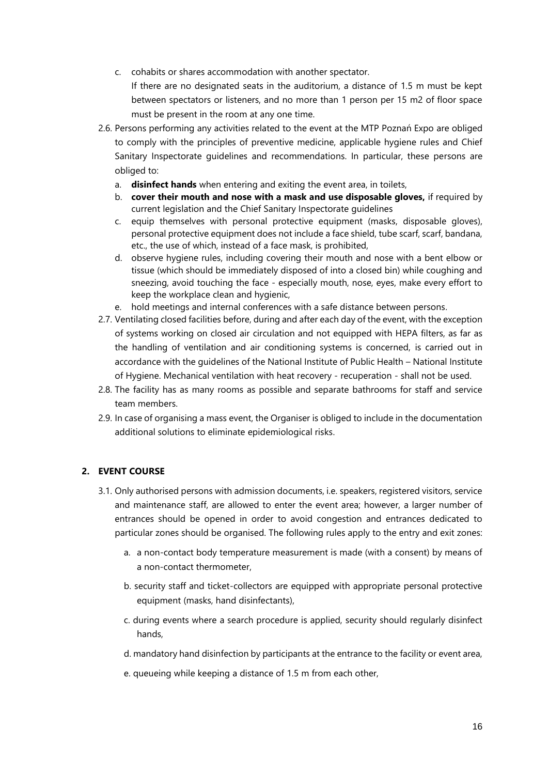c. cohabits or shares accommodation with another spectator.

If there are no designated seats in the auditorium, a distance of 1.5 m must be kept between spectators or listeners, and no more than 1 person per 15 m2 of floor space must be present in the room at any one time.

- 2.6. Persons performing any activities related to the event at the MTP Poznań Expo are obliged to comply with the principles of preventive medicine, applicable hygiene rules and Chief Sanitary Inspectorate guidelines and recommendations. In particular, these persons are obliged to:
	- a. **disinfect hands** when entering and exiting the event area, in toilets,
	- b. **cover their mouth and nose with a mask and use disposable gloves,** if required by current legislation and the Chief Sanitary Inspectorate guidelines
	- c. equip themselves with personal protective equipment (masks, disposable gloves), personal protective equipment does not include a face shield, tube scarf, scarf, bandana, etc., the use of which, instead of a face mask, is prohibited,
	- d. observe hygiene rules, including covering their mouth and nose with a bent elbow or tissue (which should be immediately disposed of into a closed bin) while coughing and sneezing, avoid touching the face - especially mouth, nose, eyes, make every effort to keep the workplace clean and hygienic,
	- e. hold meetings and internal conferences with a safe distance between persons.
- <span id="page-15-0"></span>2.7. Ventilating closed facilities before, during and after each day of the event, with the exception of systems working on closed air circulation and not equipped with HEPA filters, as far as the handling of ventilation and air conditioning systems is concerned, is carried out in accordance with the guidelines of the National Institute of Public Health – National Institute of Hygiene. Mechanical ventilation with heat recovery - recuperation - shall not be used.
- <span id="page-15-1"></span>2.8. The facility has as many rooms as possible and separate bathrooms for staff and service team members.
- 2.9. In case of organising a mass event, the Organiser is obliged to include in the documentation additional solutions to eliminate epidemiological risks.

# **2. EVENT COURSE**

- 3.1. Only authorised persons with admission documents, i.e. speakers, registered visitors, service and maintenance staff, are allowed to enter the event area; however, a larger number of entrances should be opened in order to avoid congestion and entrances dedicated to particular zones should be organised. The following rules apply to the entry and exit zones:
	- a. a non-contact body temperature measurement is made (with a consent) by means of a non-contact thermometer,
	- b. security staff and ticket-collectors are equipped with appropriate personal protective equipment (masks, hand disinfectants),
	- c. during events where a search procedure is applied, security should regularly disinfect hands,
	- d. mandatory hand disinfection by participants at the entrance to the facility or event area,
	- e. queueing while keeping a distance of 1.5 m from each other,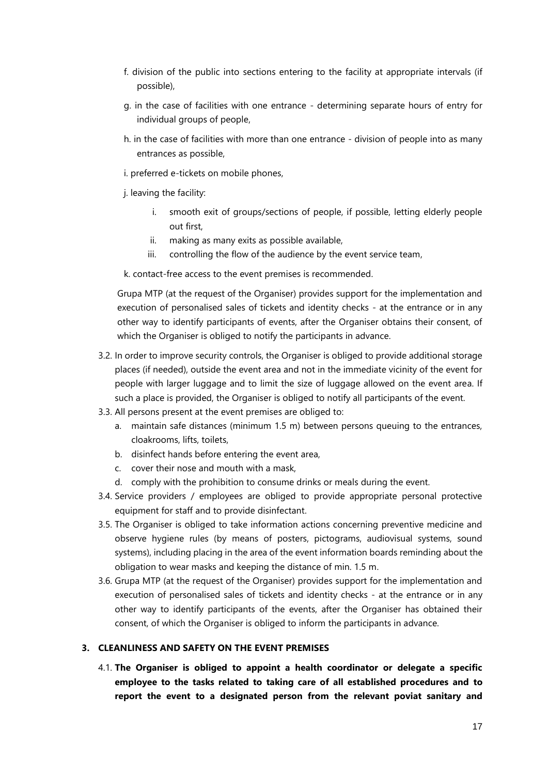- f. division of the public into sections entering to the facility at appropriate intervals (if possible),
- g. in the case of facilities with one entrance determining separate hours of entry for individual groups of people,
- h. in the case of facilities with more than one entrance division of people into as many entrances as possible,
- i. preferred e-tickets on mobile phones,
- j. leaving the facility:
	- smooth exit of groups/sections of people, if possible, letting elderly people out first,
	- ii. making as many exits as possible available,
	- iii. controlling the flow of the audience by the event service team,

k. contact-free access to the event premises is recommended.

Grupa MTP (at the request of the Organiser) provides support for the implementation and execution of personalised sales of tickets and identity checks - at the entrance or in any other way to identify participants of events, after the Organiser obtains their consent, of which the Organiser is obliged to notify the participants in advance.

- 3.2. In order to improve security controls, the Organiser is obliged to provide additional storage places (if needed), outside the event area and not in the immediate vicinity of the event for people with larger luggage and to limit the size of luggage allowed on the event area. If such a place is provided, the Organiser is obliged to notify all participants of the event.
- 3.3. All persons present at the event premises are obliged to:
	- a. maintain safe distances (minimum 1.5 m) between persons queuing to the entrances, cloakrooms, lifts, toilets,
	- b. disinfect hands before entering the event area,
	- c. cover their nose and mouth with a mask,
	- d. comply with the prohibition to consume drinks or meals during the event.
- 3.4. Service providers / employees are obliged to provide appropriate personal protective equipment for staff and to provide disinfectant.
- 3.5. The Organiser is obliged to take information actions concerning preventive medicine and observe hygiene rules (by means of posters, pictograms, audiovisual systems, sound systems), including placing in the area of the event information boards reminding about the obligation to wear masks and keeping the distance of min. 1.5 m.
- 3.6. Grupa MTP (at the request of the Organiser) provides support for the implementation and execution of personalised sales of tickets and identity checks - at the entrance or in any other way to identify participants of the events, after the Organiser has obtained their consent, of which the Organiser is obliged to inform the participants in advance.

### **3. CLEANLINESS AND SAFETY ON THE EVENT PREMISES**

4.1. **The Organiser is obliged to appoint a health coordinator or delegate a specific employee to the tasks related to taking care of all established procedures and to report the event to a designated person from the relevant poviat sanitary and**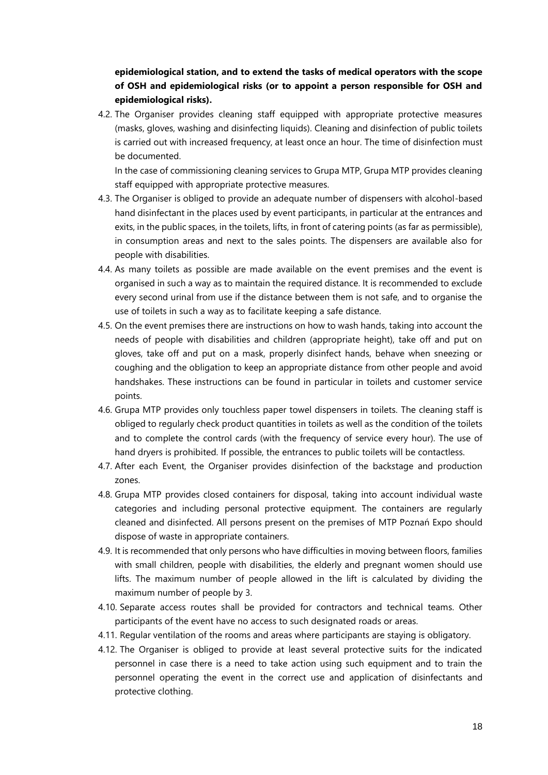# **epidemiological station, and to extend the tasks of medical operators with the scope of OSH and epidemiological risks (or to appoint a person responsible for OSH and epidemiological risks).**

4.2. The Organiser provides cleaning staff equipped with appropriate protective measures (masks, gloves, washing and disinfecting liquids). Cleaning and disinfection of public toilets is carried out with increased frequency, at least once an hour. The time of disinfection must be documented.

In the case of commissioning cleaning services to Grupa MTP, Grupa MTP provides cleaning staff equipped with appropriate protective measures.

- 4.3. The Organiser is obliged to provide an adequate number of dispensers with alcohol-based hand disinfectant in the places used by event participants, in particular at the entrances and exits, in the public spaces, in the toilets, lifts, in front of catering points (as far as permissible), in consumption areas and next to the sales points. The dispensers are available also for people with disabilities.
- 4.4. As many toilets as possible are made available on the event premises and the event is organised in such a way as to maintain the required distance. It is recommended to exclude every second urinal from use if the distance between them is not safe, and to organise the use of toilets in such a way as to facilitate keeping a safe distance.
- 4.5. On the event premises there are instructions on how to wash hands, taking into account the needs of people with disabilities and children (appropriate height), take off and put on gloves, take off and put on a mask, properly disinfect hands, behave when sneezing or coughing and the obligation to keep an appropriate distance from other people and avoid handshakes. These instructions can be found in particular in toilets and customer service points.
- 4.6. Grupa MTP provides only touchless paper towel dispensers in toilets. The cleaning staff is obliged to regularly check product quantities in toilets as well as the condition of the toilets and to complete the control cards (with the frequency of service every hour). The use of hand dryers is prohibited. If possible, the entrances to public toilets will be contactless.
- <span id="page-17-0"></span>4.7. After each Event, the Organiser provides disinfection of the backstage and production zones.
- 4.8. Grupa MTP provides closed containers for disposal, taking into account individual waste categories and including personal protective equipment. The containers are regularly cleaned and disinfected. All persons present on the premises of MTP Poznań Expo should dispose of waste in appropriate containers.
- <span id="page-17-1"></span>4.9. It is recommended that only persons who have difficulties in moving between floors, families with small children, people with disabilities, the elderly and pregnant women should use lifts. The maximum number of people allowed in the lift is calculated by dividing the maximum number of people by 3.
- 4.10. Separate access routes shall be provided for contractors and technical teams. Other participants of the event have no access to such designated roads or areas.
- <span id="page-17-2"></span>4.11. Regular ventilation of the rooms and areas where participants are staying is obligatory.
- <span id="page-17-3"></span>4.12. The Organiser is obliged to provide at least several protective suits for the indicated personnel in case there is a need to take action using such equipment and to train the personnel operating the event in the correct use and application of disinfectants and protective clothing.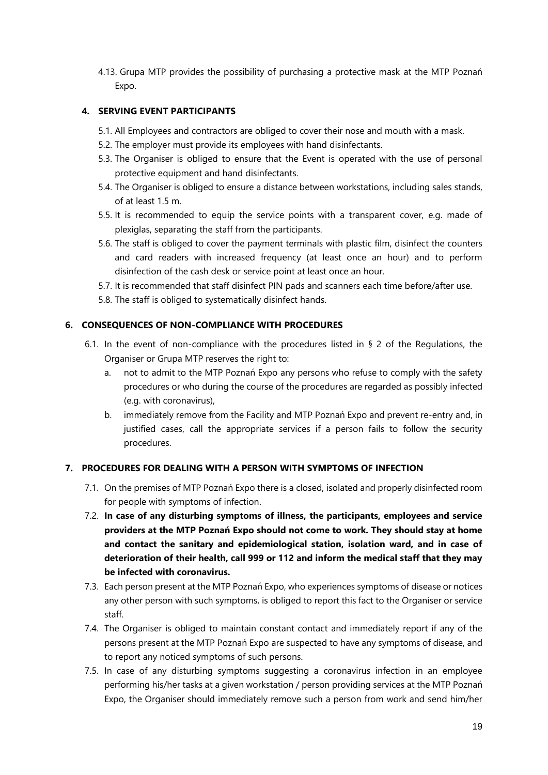4.13. Grupa MTP provides the possibility of purchasing a protective mask at the MTP Poznań Expo.

# **4. SERVING EVENT PARTICIPANTS**

- 5.1. All Employees and contractors are obliged to cover their nose and mouth with a mask.
- 5.2. The employer must provide its employees with hand disinfectants.
- 5.3. The Organiser is obliged to ensure that the Event is operated with the use of personal protective equipment and hand disinfectants.
- 5.4. The Organiser is obliged to ensure a distance between workstations, including sales stands, of at least 1.5 m.
- 5.5. It is recommended to equip the service points with a transparent cover, e.g. made of plexiglas, separating the staff from the participants.
- 5.6. The staff is obliged to cover the payment terminals with plastic film, disinfect the counters and card readers with increased frequency (at least once an hour) and to perform disinfection of the cash desk or service point at least once an hour.
- 5.7. It is recommended that staff disinfect PIN pads and scanners each time before/after use.
- 5.8. The staff is obliged to systematically disinfect hands.

### **6. CONSEQUENCES OF NON-COMPLIANCE WITH PROCEDURES**

- 6.1. In the event of non-compliance with the procedures listed in § 2 of the Regulations, the Organiser or Grupa MTP reserves the right to:
	- a. not to admit to the MTP Poznań Expo any persons who refuse to comply with the safety procedures or who during the course of the procedures are regarded as possibly infected (e.g. with coronavirus),
	- b. immediately remove from the Facility and MTP Poznań Expo and prevent re-entry and, in justified cases, call the appropriate services if a person fails to follow the security procedures.

### **7. PROCEDURES FOR DEALING WITH A PERSON WITH SYMPTOMS OF INFECTION**

- 7.1. On the premises of MTP Poznań Expo there is a closed, isolated and properly disinfected room for people with symptoms of infection.
- 7.2. **In case of any disturbing symptoms of illness, the participants, employees and service providers at the MTP Poznań Expo should not come to work. They should stay at home and contact the sanitary and epidemiological station, isolation ward, and in case of deterioration of their health, call 999 or 112 and inform the medical staff that they may be infected with coronavirus.**
- 7.3. Each person present at the MTP Poznań Expo, who experiences symptoms of disease or notices any other person with such symptoms, is obliged to report this fact to the Organiser or service staff.
- 7.4. The Organiser is obliged to maintain constant contact and immediately report if any of the persons present at the MTP Poznań Expo are suspected to have any symptoms of disease, and to report any noticed symptoms of such persons.
- 7.5. In case of any disturbing symptoms suggesting a coronavirus infection in an employee performing his/her tasks at a given workstation / person providing services at the MTP Poznań Expo, the Organiser should immediately remove such a person from work and send him/her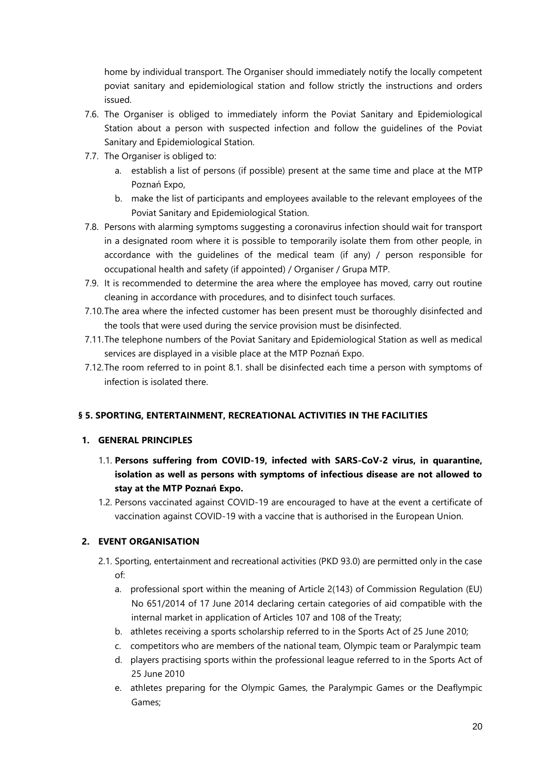home by individual transport. The Organiser should immediately notify the locally competent poviat sanitary and epidemiological station and follow strictly the instructions and orders issued.

- 7.6. The Organiser is obliged to immediately inform the Poviat Sanitary and Epidemiological Station about a person with suspected infection and follow the guidelines of the Poviat Sanitary and Epidemiological Station.
- 7.7. The Organiser is obliged to:
	- a. establish a list of persons (if possible) present at the same time and place at the MTP Poznań Expo,
	- b. make the list of participants and employees available to the relevant employees of the Poviat Sanitary and Epidemiological Station.
- 7.8. Persons with alarming symptoms suggesting a coronavirus infection should wait for transport in a designated room where it is possible to temporarily isolate them from other people, in accordance with the guidelines of the medical team (if any) / person responsible for occupational health and safety (if appointed) / Organiser / Grupa MTP.
- 7.9. It is recommended to determine the area where the employee has moved, carry out routine cleaning in accordance with procedures, and to disinfect touch surfaces.
- 7.10.The area where the infected customer has been present must be thoroughly disinfected and the tools that were used during the service provision must be disinfected.
- 7.11.The telephone numbers of the Poviat Sanitary and Epidemiological Station as well as medical services are displayed in a visible place at the MTP Poznań Expo.
- 7.12.The room referred to in point 8.1. shall be disinfected each time a person with symptoms of infection is isolated there.

# **§ 5. SPORTING, ENTERTAINMENT, RECREATIONAL ACTIVITIES IN THE FACILITIES**

# **1. GENERAL PRINCIPLES**

- 1.1. **Persons suffering from COVID-19, infected with SARS-CoV-2 virus, in quarantine, isolation as well as persons with symptoms of infectious disease are not allowed to stay at the MTP Poznań Expo.**
- 1.2. Persons vaccinated against COVID-19 are encouraged to have at the event a certificate of vaccination against COVID-19 with a vaccine that is authorised in the European Union.

# **2. EVENT ORGANISATION**

- 2.1. Sporting, entertainment and recreational activities (PKD 93.0) are permitted only in the case of:
	- a. professional sport within the meaning of Article 2(143) of Commission Regulation (EU) No 651/2014 of 17 June 2014 declaring certain categories of aid compatible with the internal market in application of Articles 107 and 108 of the Treaty;
	- b. athletes receiving a sports scholarship referred to in the Sports Act of 25 June 2010;
	- c. competitors who are members of the national team, Olympic team or Paralympic team
	- d. players practising sports within the professional league referred to in the Sports Act of 25 June 2010
	- e. athletes preparing for the Olympic Games, the Paralympic Games or the Deaflympic Games;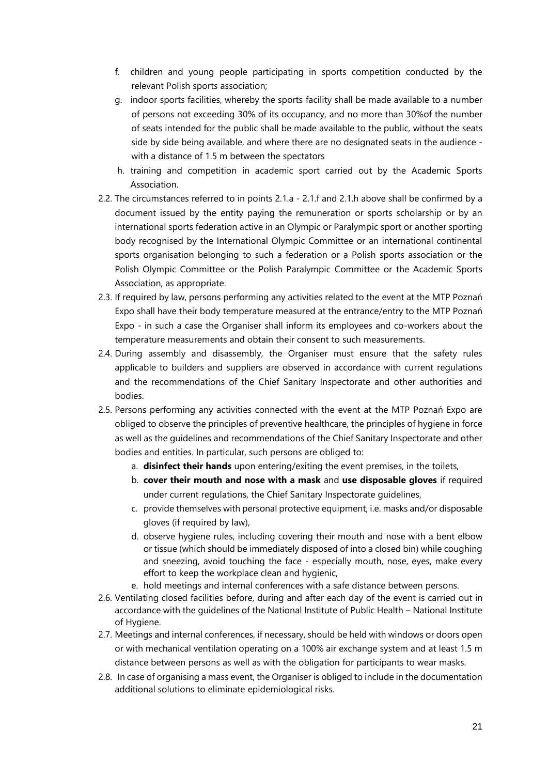- f. children and young people participating in sports competition conducted by the relevant Polish sports association;
- g. indoor sports facilities, whereby the sports facility shall be made available to a number of persons not exceeding 30% of its occupancy, and no more than 30%of the number of seats intended for the public shall be made available to the public, without the seats side by side being available, and where there are no designated seats in the audience with a distance of 1.5 m between the spectators
- h. training and competition in academic sport carried out by the Academic Sports Association.
- 2.2. The circumstances referred to in points 2.1.a 2.1.f and 2.1.h above shall be confirmed by a document issued by the entity paying the remuneration or sports scholarship or by an international sports federation active in an Olympic or Paralympic sport or another sporting body recognised by the International Olympic Committee or an international continental sports organisation belonging to such a federation or a Polish sports association or the Polish Olympic Committee or the Polish Paralympic Committee or the Academic Sports Association, as appropriate.
- 2.3. If required by law, persons performing any activities related to the event at the MTP Poznań Expo shall have their body temperature measured at the entrance/entry to the MTP Poznań Expo - in such a case the Organiser shall inform its employees and co-workers about the temperature measurements and obtain their consent to such measurements.
- 2.4. During assembly and disassembly, the Organiser must ensure that the safety rules applicable to builders and suppliers are observed in accordance with current regulations and the recommendations of the Chief Sanitary Inspectorate and other authorities and bodies.
- 2.5. Persons performing any activities connected with the event at the MTP Poznań Expo are obliged to observe the principles of preventive healthcare, the principles of hygiene in force as well as the guidelines and recommendations of the Chief Sanitary Inspectorate and other bodies and entities. In particular, such persons are obliged to:
	- a. **disinfect their hands** upon entering/exiting the event premises, in the toilets,
	- b. **cover their mouth and nose with a mask** and **use disposable gloves** if required under current regulations, the Chief Sanitary Inspectorate guidelines,
	- c. provide themselves with personal protective equipment, i.e. masks and/or disposable gloves (if required by law),
	- d. observe hygiene rules, including covering their mouth and nose with a bent elbow or tissue (which should be immediately disposed of into a closed bin) while coughing and sneezing, avoid touching the face - especially mouth, nose, eyes, make every effort to keep the workplace clean and hygienic,
	- e. hold meetings and internal conferences with a safe distance between persons.
- 2.6. Ventilating closed facilities before, during and after each day of the event is carried out in accordance with the guidelines of the National Institute of Public Health – National Institute of Hygiene.
- 2.7. Meetings and internal conferences, if necessary, should be held with windows or doors open or with mechanical ventilation operating on a 100% air exchange system and at least 1.5 m distance between persons as well as with the obligation for participants to wear masks.
- 2.8. In case of organising a mass event, the Organiser is obliged to include in the documentation additional solutions to eliminate epidemiological risks.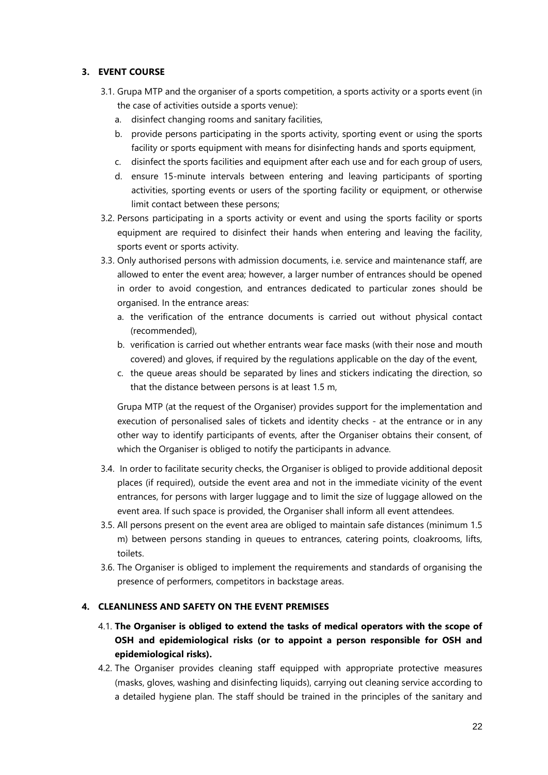# **3. EVENT COURSE**

- 3.1. Grupa MTP and the organiser of a sports competition, a sports activity or a sports event (in the case of activities outside a sports venue):
	- a. disinfect changing rooms and sanitary facilities,
	- b. provide persons participating in the sports activity, sporting event or using the sports facility or sports equipment with means for disinfecting hands and sports equipment,
	- c. disinfect the sports facilities and equipment after each use and for each group of users,
	- d. ensure 15-minute intervals between entering and leaving participants of sporting activities, sporting events or users of the sporting facility or equipment, or otherwise limit contact between these persons;
- 3.2. Persons participating in a sports activity or event and using the sports facility or sports equipment are required to disinfect their hands when entering and leaving the facility, sports event or sports activity.
- 3.3. Only authorised persons with admission documents, i.e. service and maintenance staff, are allowed to enter the event area; however, a larger number of entrances should be opened in order to avoid congestion, and entrances dedicated to particular zones should be organised. In the entrance areas:
	- a. the verification of the entrance documents is carried out without physical contact (recommended),
	- b. verification is carried out whether entrants wear face masks (with their nose and mouth covered) and gloves, if required by the regulations applicable on the day of the event,
	- c. the queue areas should be separated by lines and stickers indicating the direction, so that the distance between persons is at least 1.5 m,

Grupa MTP (at the request of the Organiser) provides support for the implementation and execution of personalised sales of tickets and identity checks - at the entrance or in any other way to identify participants of events, after the Organiser obtains their consent, of which the Organiser is obliged to notify the participants in advance.

- 3.4. In order to facilitate security checks, the Organiser is obliged to provide additional deposit places (if required), outside the event area and not in the immediate vicinity of the event entrances, for persons with larger luggage and to limit the size of luggage allowed on the event area. If such space is provided, the Organiser shall inform all event attendees.
- 3.5. All persons present on the event area are obliged to maintain safe distances (minimum 1.5 m) between persons standing in queues to entrances, catering points, cloakrooms, lifts, toilets.
- 3.6. The Organiser is obliged to implement the requirements and standards of organising the presence of performers, competitors in backstage areas.

# **4. CLEANLINESS AND SAFETY ON THE EVENT PREMISES**

- 4.1. **The Organiser is obliged to extend the tasks of medical operators with the scope of OSH and epidemiological risks (or to appoint a person responsible for OSH and epidemiological risks).**
- 4.2. The Organiser provides cleaning staff equipped with appropriate protective measures (masks, gloves, washing and disinfecting liquids), carrying out cleaning service according to a detailed hygiene plan. The staff should be trained in the principles of the sanitary and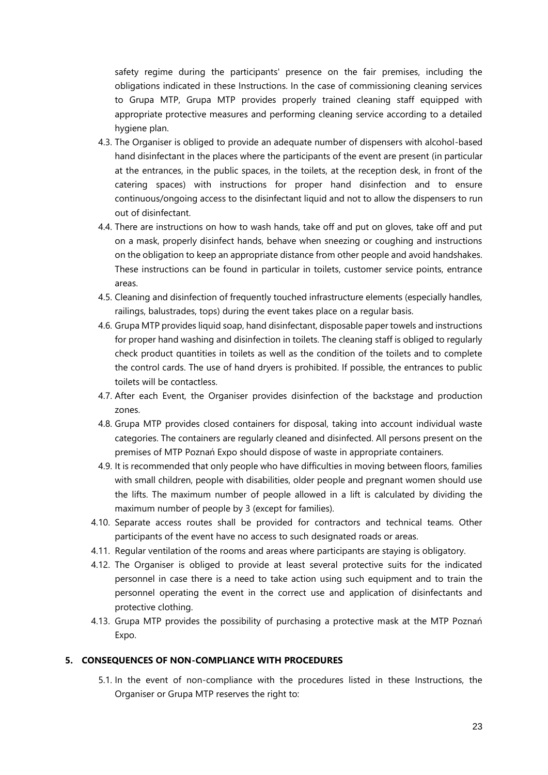safety regime during the participants' presence on the fair premises, including the obligations indicated in these Instructions. In the case of commissioning cleaning services to Grupa MTP, Grupa MTP provides properly trained cleaning staff equipped with appropriate protective measures and performing cleaning service according to a detailed hygiene plan.

- 4.3. The Organiser is obliged to provide an adequate number of dispensers with alcohol-based hand disinfectant in the places where the participants of the event are present (in particular at the entrances, in the public spaces, in the toilets, at the reception desk, in front of the catering spaces) with instructions for proper hand disinfection and to ensure continuous/ongoing access to the disinfectant liquid and not to allow the dispensers to run out of disinfectant.
- 4.4. There are instructions on how to wash hands, take off and put on gloves, take off and put on a mask, properly disinfect hands, behave when sneezing or coughing and instructions on the obligation to keep an appropriate distance from other people and avoid handshakes. These instructions can be found in particular in toilets, customer service points, entrance areas.
- 4.5. Cleaning and disinfection of frequently touched infrastructure elements (especially handles, railings, balustrades, tops) during the event takes place on a regular basis.
- 4.6. Grupa MTP provides liquid soap, hand disinfectant, disposable paper towels and instructions for proper hand washing and disinfection in toilets. The cleaning staff is obliged to regularly check product quantities in toilets as well as the condition of the toilets and to complete the control cards. The use of hand dryers is prohibited. If possible, the entrances to public toilets will be contactless.
- 4.7. After each Event, the Organiser provides disinfection of the backstage and production zones.
- 4.8. Grupa MTP provides closed containers for disposal, taking into account individual waste categories. The containers are regularly cleaned and disinfected. All persons present on the premises of MTP Poznań Expo should dispose of waste in appropriate containers.
- 4.9. It is recommended that only people who have difficulties in moving between floors, families with small children, people with disabilities, older people and pregnant women should use the lifts. The maximum number of people allowed in a lift is calculated by dividing the maximum number of people by 3 (except for families).
- 4.10. Separate access routes shall be provided for contractors and technical teams. Other participants of the event have no access to such designated roads or areas.
- 4.11. Regular ventilation of the rooms and areas where participants are staying is obligatory.
- 4.12. The Organiser is obliged to provide at least several protective suits for the indicated personnel in case there is a need to take action using such equipment and to train the personnel operating the event in the correct use and application of disinfectants and protective clothing.
- 4.13. Grupa MTP provides the possibility of purchasing a protective mask at the MTP Poznań Expo.

### **5. CONSEQUENCES OF NON-COMPLIANCE WITH PROCEDURES**

5.1. In the event of non-compliance with the procedures listed in these Instructions, the Organiser or Grupa MTP reserves the right to: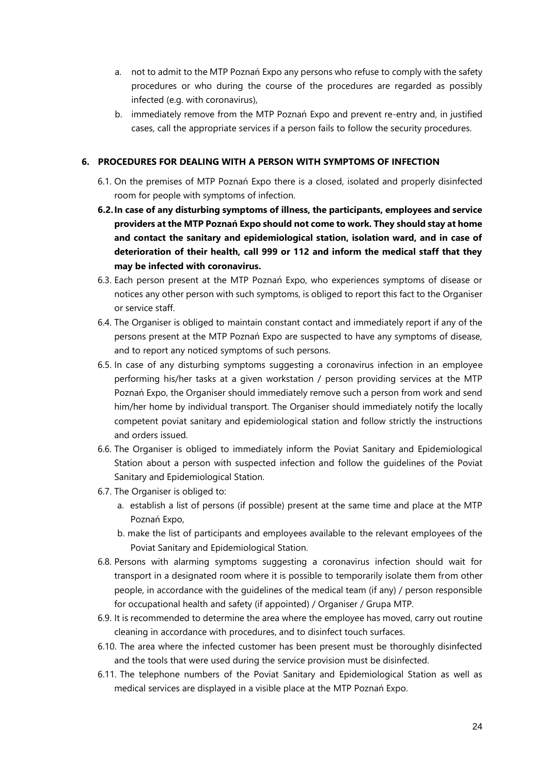- a. not to admit to the MTP Poznań Expo any persons who refuse to comply with the safety procedures or who during the course of the procedures are regarded as possibly infected (e.g. with coronavirus),
- b. immediately remove from the MTP Poznań Expo and prevent re-entry and, in justified cases, call the appropriate services if a person fails to follow the security procedures.

### **6. PROCEDURES FOR DEALING WITH A PERSON WITH SYMPTOMS OF INFECTION**

- 6.1. On the premises of MTP Poznań Expo there is a closed, isolated and properly disinfected room for people with symptoms of infection.
- **6.2.In case of any disturbing symptoms of illness, the participants, employees and service providers at the MTP Poznań Expo should not come to work. They should stay at home and contact the sanitary and epidemiological station, isolation ward, and in case of deterioration of their health, call 999 or 112 and inform the medical staff that they may be infected with coronavirus.**
- 6.3. Each person present at the MTP Poznań Expo, who experiences symptoms of disease or notices any other person with such symptoms, is obliged to report this fact to the Organiser or service staff.
- 6.4. The Organiser is obliged to maintain constant contact and immediately report if any of the persons present at the MTP Poznań Expo are suspected to have any symptoms of disease, and to report any noticed symptoms of such persons.
- 6.5. In case of any disturbing symptoms suggesting a coronavirus infection in an employee performing his/her tasks at a given workstation / person providing services at the MTP Poznań Expo, the Organiser should immediately remove such a person from work and send him/her home by individual transport. The Organiser should immediately notify the locally competent poviat sanitary and epidemiological station and follow strictly the instructions and orders issued.
- 6.6. The Organiser is obliged to immediately inform the Poviat Sanitary and Epidemiological Station about a person with suspected infection and follow the guidelines of the Poviat Sanitary and Epidemiological Station.
- 6.7. The Organiser is obliged to:
	- a. establish a list of persons (if possible) present at the same time and place at the MTP Poznań Expo,
	- b. make the list of participants and employees available to the relevant employees of the Poviat Sanitary and Epidemiological Station.
- 6.8. Persons with alarming symptoms suggesting a coronavirus infection should wait for transport in a designated room where it is possible to temporarily isolate them from other people, in accordance with the guidelines of the medical team (if any) / person responsible for occupational health and safety (if appointed) / Organiser / Grupa MTP.
- 6.9. It is recommended to determine the area where the employee has moved, carry out routine cleaning in accordance with procedures, and to disinfect touch surfaces.
- 6.10. The area where the infected customer has been present must be thoroughly disinfected and the tools that were used during the service provision must be disinfected.
- 6.11. The telephone numbers of the Poviat Sanitary and Epidemiological Station as well as medical services are displayed in a visible place at the MTP Poznań Expo.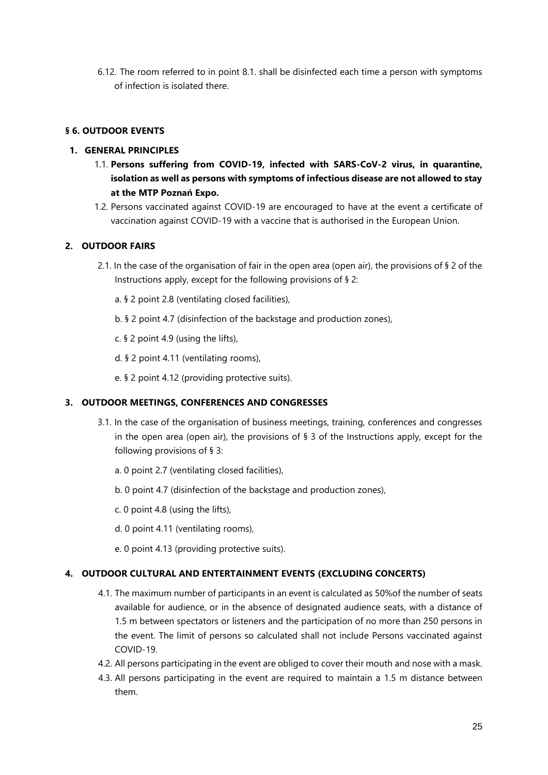6.12. The room referred to in point 8.1. shall be disinfected each time a person with symptoms of infection is isolated there.

# **§ 6. OUTDOOR EVENTS**

### **1. GENERAL PRINCIPLES**

- 1.1. **Persons suffering from COVID-19, infected with SARS-CoV-2 virus, in quarantine, isolation as well as persons with symptoms of infectious disease are not allowed to stay at the MTP Poznań Expo.**
- 1.2. Persons vaccinated against COVID-19 are encouraged to have at the event a certificate of vaccination against COVID-19 with a vaccine that is authorised in the European Union.

### **2. OUTDOOR FAIRS**

- 2.1. In the case of the organisation of fair in the open area (open air), the provisions of § 2 of the Instructions apply, except for the following provisions of § 2:
	- a. [§ 2](#page-1-0) point [2.8](#page-2-0) (ventilating closed facilities),
	- b. [§ 2](#page-1-0) point [4.7](#page-4-0) (disinfection of the backstage and production zones),
	- c. [§ 2](#page-1-0) point [4.9](#page-4-1) (using the lifts),
	- d. [§ 2](#page-1-0) point [4.11](#page-4-2) (ventilating rooms),
	- e. [§ 2](#page-1-0) point [4.12](#page-4-3) (providing protective suits).

### **3. OUTDOOR MEETINGS, CONFERENCES AND CONGRESSES**

- 3.1. In the case of the organisation of business meetings, training, conferences and congresses in the open area (open air), the provisions of  $\S$  3 of the Instructions apply, except for the following provisions of § 3:
	- a. [0](#page-6-0) point [2.7](#page-8-0) (ventilating closed facilities),
	- b. [0](#page-6-0) point [4.7](#page-10-0) (disinfection of the backstage and production zones),
	- c. [0](#page-6-0) point 4.8 (using the lifts),
	- d. [0](#page-6-0) point [4.11](#page-11-0) (ventilating rooms),
	- e. [0](#page-6-0) point [4.13](#page-11-1) (providing protective suits).

### **4. OUTDOOR CULTURAL AND ENTERTAINMENT EVENTS (EXCLUDING CONCERTS)**

- 4.1. The maximum number of participants in an event is calculated as 50%of the number of seats available for audience, or in the absence of designated audience seats, with a distance of 1.5 m between spectators or listeners and the participation of no more than 250 persons in the event. The limit of persons so calculated shall not include Persons vaccinated against COVID-19.
- 4.2. All persons participating in the event are obliged to cover their mouth and nose with a mask.
- 4.3. All persons participating in the event are required to maintain a 1.5 m distance between them.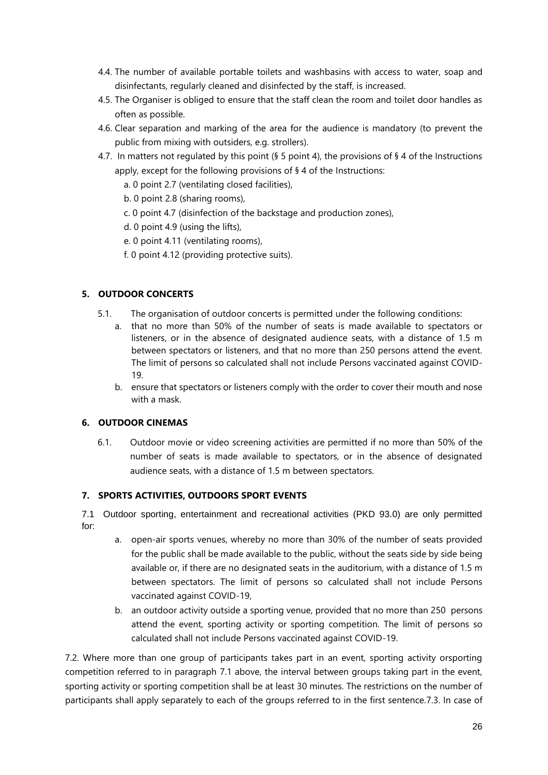- 4.4. The number of available portable toilets and washbasins with access to water, soap and disinfectants, regularly cleaned and disinfected by the staff, is increased.
- 4.5. The Organiser is obliged to ensure that the staff clean the room and toilet door handles as often as possible.
- 4.6. Clear separation and marking of the area for the audience is mandatory (to prevent the public from mixing with outsiders, e.g. strollers).
- 4.7. In matters not regulated by this point (§ 5 point 4), the provisions of § 4 of the Instructions apply, except for the following provisions of § 4 of the Instructions:
	- a. [0](#page-13-0) point [2.7](#page-15-0) (ventilating closed facilities),
	- b. [0](#page-13-0) point [2.8](#page-15-1) (sharing rooms),
	- c. [0](#page-13-0) point [4.7](#page-17-0) (disinfection of the backstage and production zones),
	- d. [0](#page-13-0) point [4.9](#page-17-1) (using the lifts),
	- e. [0](#page-13-0) point [4.11](#page-17-2) (ventilating rooms),
	- f. [0](#page-13-0) point [4.12](#page-17-3) (providing protective suits).

# **5. OUTDOOR CONCERTS**

- 5.1. The organisation of outdoor concerts is permitted under the following conditions:
	- a. that no more than 50% of the number of seats is made available to spectators or listeners, or in the absence of designated audience seats, with a distance of 1.5 m between spectators or listeners, and that no more than 250 persons attend the event. The limit of persons so calculated shall not include Persons vaccinated against COVID-19.
	- b. ensure that spectators or listeners comply with the order to cover their mouth and nose with a mask.

# **6. OUTDOOR CINEMAS**

6.1. Outdoor movie or video screening activities are permitted if no more than 50% of the number of seats is made available to spectators, or in the absence of designated audience seats, with a distance of 1.5 m between spectators.

# **7. SPORTS ACTIVITIES, OUTDOORS SPORT EVENTS**

7.1 Outdoor sporting, entertainment and recreational activities (PKD 93.0) are only permitted for:

- a. open-air sports venues, whereby no more than 30% of the number of seats provided for the public shall be made available to the public, without the seats side by side being available or, if there are no designated seats in the auditorium, with a distance of 1.5 m between spectators. The limit of persons so calculated shall not include Persons vaccinated against COVID-19,
- b. an outdoor activity outside a sporting venue, provided that no more than 250 persons attend the event, sporting activity or sporting competition. The limit of persons so calculated shall not include Persons vaccinated against COVID-19.

7.2. Where more than one group of participants takes part in an event, sporting activity orsporting competition referred to in paragraph 7.1 above, the interval between groups taking part in the event, sporting activity or sporting competition shall be at least 30 minutes. The restrictions on the number of participants shall apply separately to each of the groups referred to in the first sentence.7.3. In case of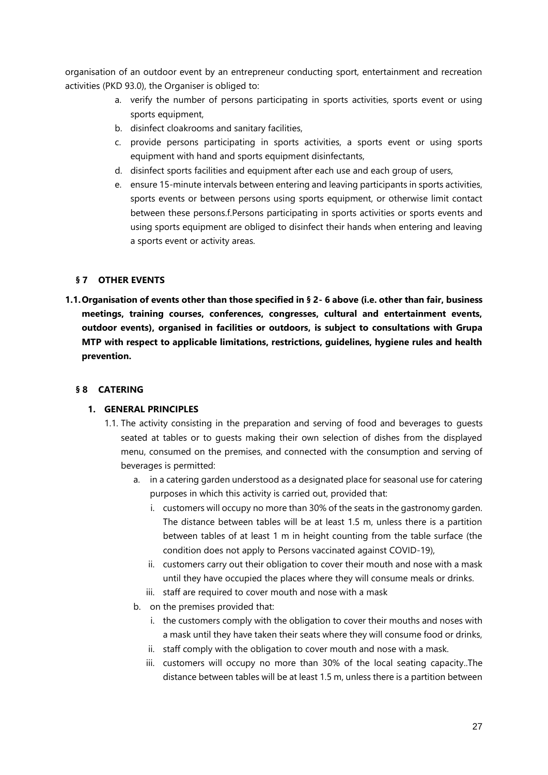organisation of an outdoor event by an entrepreneur conducting sport, entertainment and recreation activities (PKD 93.0), the Organiser is obliged to:

- a. verify the number of persons participating in sports activities, sports event or using sports equipment,
- b. disinfect cloakrooms and sanitary facilities,
- c. provide persons participating in sports activities, a sports event or using sports equipment with hand and sports equipment disinfectants,
- d. disinfect sports facilities and equipment after each use and each group of users,
- e. ensure 15-minute intervals between entering and leaving participants in sports activities, sports events or between persons using sports equipment, or otherwise limit contact between these persons.f.Persons participating in sports activities or sports events and using sports equipment are obliged to disinfect their hands when entering and leaving a sports event or activity areas.

### **§ 7 OTHER EVENTS**

**1.1.Organisation of events other than those specified in § 2- 6 above (i.e. other than fair, business meetings, training courses, conferences, congresses, cultural and entertainment events, outdoor events), organised in facilities or outdoors, is subject to consultations with Grupa MTP with respect to applicable limitations, restrictions, guidelines, hygiene rules and health prevention.** 

# **§ 8 CATERING**

### **1. GENERAL PRINCIPLES**

- 1.1. The activity consisting in the preparation and serving of food and beverages to guests seated at tables or to guests making their own selection of dishes from the displayed menu, consumed on the premises, and connected with the consumption and serving of beverages is permitted:
	- a. in a catering garden understood as a designated place for seasonal use for catering purposes in which this activity is carried out, provided that:
		- i. customers will occupy no more than 30% of the seats in the gastronomy garden. The distance between tables will be at least 1.5 m, unless there is a partition between tables of at least 1 m in height counting from the table surface (the condition does not apply to Persons vaccinated against COVID-19),
		- ii. customers carry out their obligation to cover their mouth and nose with a mask until they have occupied the places where they will consume meals or drinks.
		- iii. staff are required to cover mouth and nose with a mask
	- b. on the premises provided that:
		- i. the customers comply with the obligation to cover their mouths and noses with a mask until they have taken their seats where they will consume food or drinks,
		- ii. staff comply with the obligation to cover mouth and nose with a mask.
		- iii. customers will occupy no more than 30% of the local seating capacity..The distance between tables will be at least 1.5 m, unless there is a partition between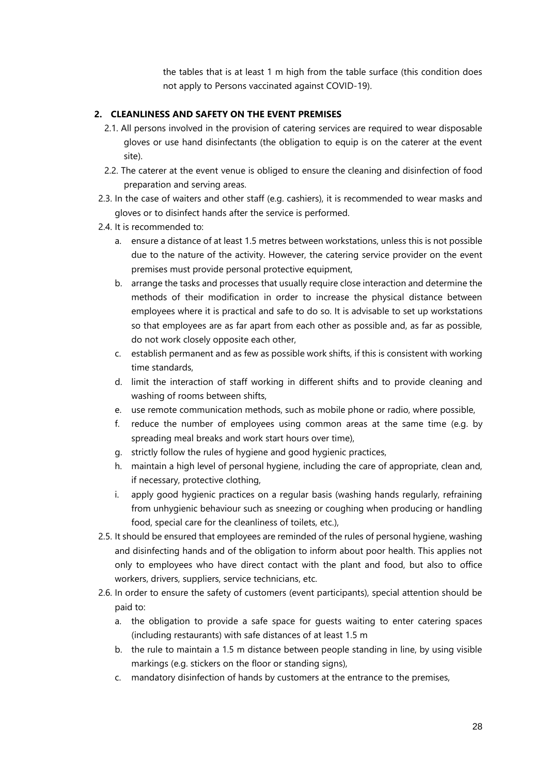the tables that is at least 1 m high from the table surface (this condition does not apply to Persons vaccinated against COVID-19).

### **2. CLEANLINESS AND SAFETY ON THE EVENT PREMISES**

- 2.1. All persons involved in the provision of catering services are required to wear disposable gloves or use hand disinfectants (the obligation to equip is on the caterer at the event site).
- 2.2. The caterer at the event venue is obliged to ensure the cleaning and disinfection of food preparation and serving areas.
- 2.3. In the case of waiters and other staff (e.g. cashiers), it is recommended to wear masks and gloves or to disinfect hands after the service is performed.
- 2.4. It is recommended to:
	- a. ensure a distance of at least 1.5 metres between workstations, unless this is not possible due to the nature of the activity. However, the catering service provider on the event premises must provide personal protective equipment,
	- b. arrange the tasks and processes that usually require close interaction and determine the methods of their modification in order to increase the physical distance between employees where it is practical and safe to do so. It is advisable to set up workstations so that employees are as far apart from each other as possible and, as far as possible, do not work closely opposite each other,
	- c. establish permanent and as few as possible work shifts, if this is consistent with working time standards,
	- d. limit the interaction of staff working in different shifts and to provide cleaning and washing of rooms between shifts,
	- e. use remote communication methods, such as mobile phone or radio, where possible,
	- f. reduce the number of employees using common areas at the same time (e.g. by spreading meal breaks and work start hours over time),
	- g. strictly follow the rules of hygiene and good hygienic practices,
	- h. maintain a high level of personal hygiene, including the care of appropriate, clean and, if necessary, protective clothing,
	- i. apply good hygienic practices on a regular basis (washing hands regularly, refraining from unhygienic behaviour such as sneezing or coughing when producing or handling food, special care for the cleanliness of toilets, etc.),
- 2.5. It should be ensured that employees are reminded of the rules of personal hygiene, washing and disinfecting hands and of the obligation to inform about poor health. This applies not only to employees who have direct contact with the plant and food, but also to office workers, drivers, suppliers, service technicians, etc.
- 2.6. In order to ensure the safety of customers (event participants), special attention should be paid to:
	- a. the obligation to provide a safe space for guests waiting to enter catering spaces (including restaurants) with safe distances of at least 1.5 m
	- b. the rule to maintain a 1.5 m distance between people standing in line, by using visible markings (e.g. stickers on the floor or standing signs),
	- c. mandatory disinfection of hands by customers at the entrance to the premises,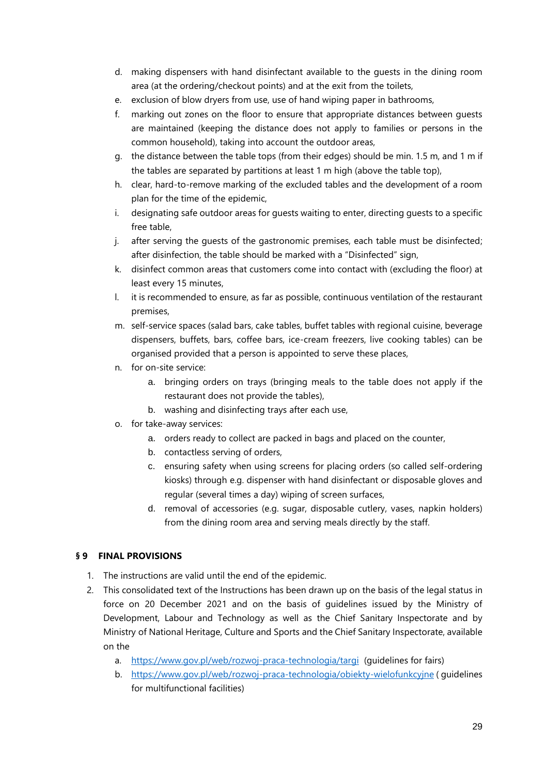- d. making dispensers with hand disinfectant available to the guests in the dining room area (at the ordering/checkout points) and at the exit from the toilets,
- e. exclusion of blow dryers from use, use of hand wiping paper in bathrooms,
- f. marking out zones on the floor to ensure that appropriate distances between guests are maintained (keeping the distance does not apply to families or persons in the common household), taking into account the outdoor areas,
- g. the distance between the table tops (from their edges) should be min. 1.5 m, and 1 m if the tables are separated by partitions at least 1 m high (above the table top),
- h. clear, hard-to-remove marking of the excluded tables and the development of a room plan for the time of the epidemic,
- i. designating safe outdoor areas for guests waiting to enter, directing guests to a specific free table,
- j. after serving the guests of the gastronomic premises, each table must be disinfected; after disinfection, the table should be marked with a "Disinfected" sign,
- k. disinfect common areas that customers come into contact with (excluding the floor) at least every 15 minutes,
- l. it is recommended to ensure, as far as possible, continuous ventilation of the restaurant premises,
- m. self-service spaces (salad bars, cake tables, buffet tables with regional cuisine, beverage dispensers, buffets, bars, coffee bars, ice-cream freezers, live cooking tables) can be organised provided that a person is appointed to serve these places,
- n. for on-site service:
	- a. bringing orders on trays (bringing meals to the table does not apply if the restaurant does not provide the tables),
	- b. washing and disinfecting trays after each use,
- o. for take-away services:
	- a. orders ready to collect are packed in bags and placed on the counter,
	- b. contactless serving of orders,
	- c. ensuring safety when using screens for placing orders (so called self-ordering kiosks) through e.g. dispenser with hand disinfectant or disposable gloves and regular (several times a day) wiping of screen surfaces,
	- d. removal of accessories (e.g. sugar, disposable cutlery, vases, napkin holders) from the dining room area and serving meals directly by the staff.

# **§ 9 FINAL PROVISIONS**

- 1. The instructions are valid until the end of the epidemic.
- 2. This consolidated text of the Instructions has been drawn up on the basis of the legal status in force on 20 December 2021 and on the basis of guidelines issued by the Ministry of Development, Labour and Technology as well as the Chief Sanitary Inspectorate and by Ministry of National Heritage, Culture and Sports and the Chief Sanitary Inspectorate, available on the
	- a. <https://www.gov.pl/web/rozwoj-praca-technologia/targi>(guidelines for fairs)
	- b. <https://www.gov.pl/web/rozwoj-praca-technologia/obiekty-wielofunkcyjne> ( guidelines for multifunctional facilities)